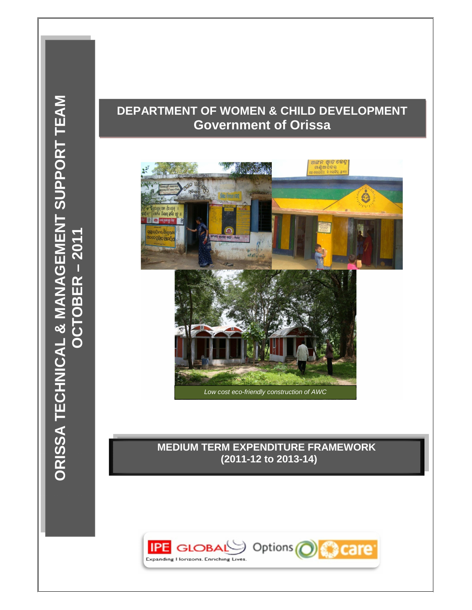# **DEPARTMENT OF WOMEN & CHILD DEVELOPMENT Government of Orissa**



# **MEDIUM TERM EXPENDITURE FRAMEWORK (2011-12 to 2013-14)**

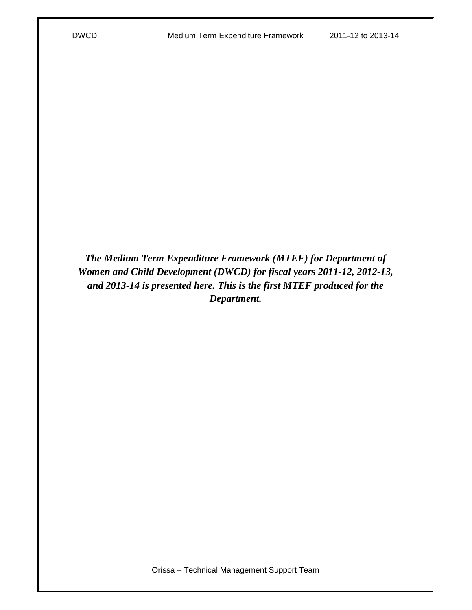*The Medium Term Expenditure Framework (MTEF) for Department of Women and Child Development (DWCD) for fiscal years 2011-12, 2012-13, and 2013-14 is presented here. This is the first MTEF produced for the Department.*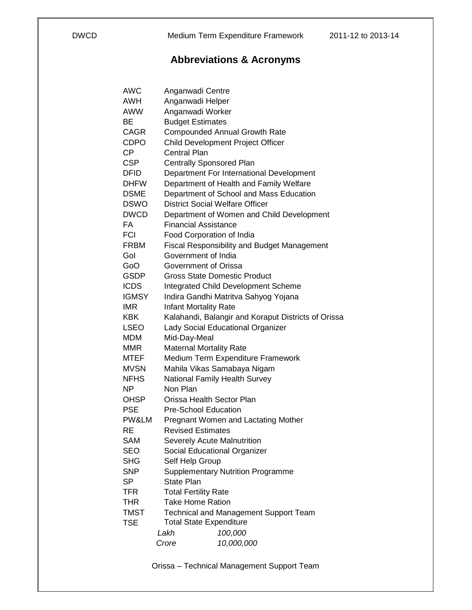# **Abbreviations & Acronyms**

| AWC          | Anganwadi Centre                                    |
|--------------|-----------------------------------------------------|
| AWH          | Anganwadi Helper                                    |
| AWW          | Anganwadi Worker                                    |
| ВE           | <b>Budget Estimates</b>                             |
| <b>CAGR</b>  | <b>Compounded Annual Growth Rate</b>                |
| CDPO         | Child Development Project Officer                   |
| <b>CP</b>    | <b>Central Plan</b>                                 |
| <b>CSP</b>   | <b>Centrally Sponsored Plan</b>                     |
| <b>DFID</b>  | Department For International Development            |
| <b>DHFW</b>  | Department of Health and Family Welfare             |
| <b>DSME</b>  | Department of School and Mass Education             |
| <b>DSWO</b>  | <b>District Social Welfare Officer</b>              |
| <b>DWCD</b>  | Department of Women and Child Development           |
| FA           | <b>Financial Assistance</b>                         |
| <b>FCI</b>   | Food Corporation of India                           |
| <b>FRBM</b>  | <b>Fiscal Responsibility and Budget Management</b>  |
| Gol          | Government of India                                 |
| GoO          | Government of Orissa                                |
| GSDP         | <b>Gross State Domestic Product</b>                 |
| <b>ICDS</b>  | Integrated Child Development Scheme                 |
| <b>IGMSY</b> | Indira Gandhi Matritva Sahyog Yojana                |
| <b>IMR</b>   | <b>Infant Mortality Rate</b>                        |
| KBK          | Kalahandi, Balangir and Koraput Districts of Orissa |
| <b>LSEO</b>  | Lady Social Educational Organizer                   |
| MDM          | Mid-Day-Meal                                        |
| MMR          | <b>Maternal Mortality Rate</b>                      |
| <b>MTEF</b>  | Medium Term Expenditure Framework                   |
| <b>MVSN</b>  | Mahila Vikas Samabaya Nigam                         |
| <b>NFHS</b>  | National Family Health Survey                       |
| ΝP           | Non Plan                                            |
| <b>OHSP</b>  | Orissa Health Sector Plan                           |
| <b>PSE</b>   | <b>Pre-School Education</b>                         |
| PW&LM        | <b>Pregnant Women and Lactating Mother</b>          |
| RE           | <b>Revised Estimates</b>                            |
| SAM          | Severely Acute Malnutrition                         |
| <b>SEO</b>   | Social Educational Organizer                        |
| SHG          | Self Help Group                                     |
| <b>SNP</b>   | <b>Supplementary Nutrition Programme</b>            |
| SP           | State Plan                                          |
| TFR          | <b>Total Fertility Rate</b>                         |
| THR          | <b>Take Home Ration</b>                             |
| <b>TMST</b>  | <b>Technical and Management Support Team</b>        |
| TSE          | <b>Total State Expenditure</b>                      |
|              | 100,000<br>Lakh                                     |
|              | 10,000,000<br>Crore                                 |
|              |                                                     |

Orissa – Technical Management Support Team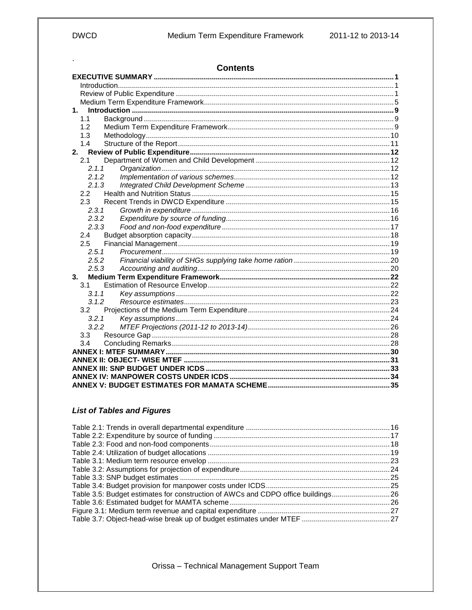$\epsilon$ 

| <b>Contents</b>      |  |
|----------------------|--|
|                      |  |
|                      |  |
|                      |  |
|                      |  |
| $\mathbf 1$ .        |  |
| 1.1                  |  |
| 1.2                  |  |
| 1.3                  |  |
| 1.4                  |  |
| 2.                   |  |
| 2.1                  |  |
| 2.1.1                |  |
| 2.1.2                |  |
| 2.1.3                |  |
| $2.2^{\circ}$<br>2.3 |  |
| 2.3.1                |  |
| 2.3.2                |  |
| 2.3.3                |  |
| 2.4                  |  |
| 2.5                  |  |
| 2.5.1                |  |
| 2.5.2                |  |
| 2.5.3                |  |
| 3.                   |  |
| 3.1                  |  |
| 3.1.1                |  |
| 3.1.2                |  |
| 3.2                  |  |
| 3.2.1                |  |
| 3.2.2                |  |
| 3.3                  |  |
| 3.4                  |  |
|                      |  |
|                      |  |
|                      |  |
|                      |  |
|                      |  |

## **List of Tables and Figures**

| Table 3.5: Budget estimates for construction of AWCs and CDPO office buildings26 |  |
|----------------------------------------------------------------------------------|--|
|                                                                                  |  |
|                                                                                  |  |
|                                                                                  |  |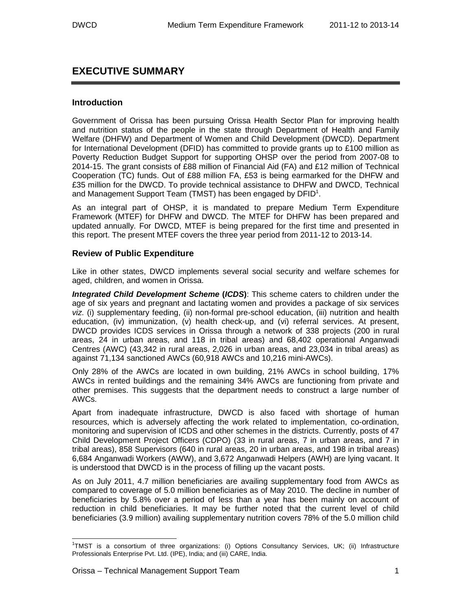## **EXECUTIVE SUMMARY**

#### **Introduction**

Government of Orissa has been pursuing Orissa Health Sector Plan for improving health and nutrition status of the people in the state through Department of Health and Family Welfare (DHFW) and Department of Women and Child Development (DWCD). Department for International Development (DFID) has committed to provide grants up to £100 million as Poverty Reduction Budget Support for supporting OHSP over the period from 2007-08 to 2014-15. The grant consists of £88 million of Financial Aid (FA) and £12 million of Technical Cooperation (TC) funds. Out of £88 million FA, £53 is being earmarked for the DHFW and £35 million for the DWCD. To provide technical assistance to DHFW and DWCD, Technical and Management Support Team (TMST) has been engaged by DFID $^1$ .

As an integral part of OHSP, it is mandated to prepare Medium Term Expenditure Framework (MTEF) for DHFW and DWCD. The MTEF for DHFW has been prepared and updated annually. For DWCD, MTEF is being prepared for the first time and presented in this report. The present MTEF covers the three year period from 2011-12 to 2013-14.

#### **Review of Public Expenditure**

Like in other states, DWCD implements several social security and welfare schemes for aged, children, and women in Orissa.

**Integrated Child Development Scheme (ICDS)**: This scheme caters to children under the age of six years and pregnant and lactating women and provides a package of six services viz. (i) supplementary feeding, (ii) non-formal pre-school education, (iii) nutrition and health education, (iv) immunization, (v) health check-up, and (vi) referral services. At present, DWCD provides ICDS services in Orissa through a network of 338 projects (200 in rural areas, 24 in urban areas, and 118 in tribal areas) and 68,402 operational Anganwadi Centres (AWC) (43,342 in rural areas, 2,026 in urban areas, and 23,034 in tribal areas) as against 71,134 sanctioned AWCs (60,918 AWCs and 10,216 mini-AWCs).

Only 28% of the AWCs are located in own building, 21% AWCs in school building, 17% AWCs in rented buildings and the remaining 34% AWCs are functioning from private and other premises. This suggests that the department needs to construct a large number of AWCs.

Apart from inadequate infrastructure, DWCD is also faced with shortage of human resources, which is adversely affecting the work related to implementation, co-ordination, monitoring and supervision of ICDS and other schemes in the districts. Currently, posts of 47 Child Development Project Officers (CDPO) (33 in rural areas, 7 in urban areas, and 7 in tribal areas), 858 Supervisors (640 in rural areas, 20 in urban areas, and 198 in tribal areas) 6,684 Anganwadi Workers (AWW), and 3,672 Anganwadi Helpers (AWH) are lying vacant. It is understood that DWCD is in the process of filling up the vacant posts.

As on July 2011, 4.7 million beneficiaries are availing supplementary food from AWCs as compared to coverage of 5.0 million beneficiaries as of May 2010. The decline in number of beneficiaries by 5.8% over a period of less than a year has been mainly on account of reduction in child beneficiaries. It may be further noted that the current level of child beneficiaries (3.9 million) availing supplementary nutrition covers 78% of the 5.0 million child

 1 TMST is a consortium of three organizations: (i) Options Consultancy Services, UK; (ii) Infrastructure Professionals Enterprise Pvt. Ltd. (IPE), India; and (iii) CARE, India.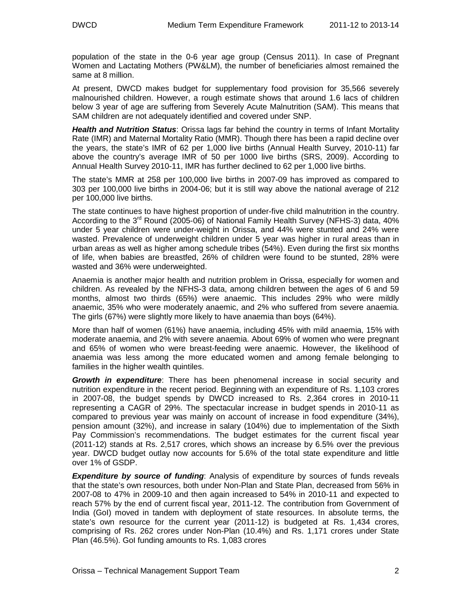population of the state in the 0-6 year age group (Census 2011). In case of Pregnant Women and Lactating Mothers (PW&LM), the number of beneficiaries almost remained the same at 8 million.

At present, DWCD makes budget for supplementary food provision for 35,566 severely malnourished children. However, a rough estimate shows that around 1.6 lacs of children below 3 year of age are suffering from Severely Acute Malnutrition (SAM). This means that SAM children are not adequately identified and covered under SNP.

**Health and Nutrition Status**: Orissa lags far behind the country in terms of Infant Mortality Rate (IMR) and Maternal Mortality Ratio (MMR). Though there has been a rapid decline over the years, the state's IMR of 62 per 1,000 live births (Annual Health Survey, 2010-11) far above the country's average IMR of 50 per 1000 live births (SRS, 2009). According to Annual Health Survey 2010-11, IMR has further declined to 62 per 1,000 live births.

The state's MMR at 258 per 100,000 live births in 2007-09 has improved as compared to 303 per 100,000 live births in 2004-06; but it is still way above the national average of 212 per 100,000 live births.

The state continues to have highest proportion of under-five child malnutrition in the country. According to the  $3^{rd}$  Round (2005-06) of National Family Health Survey (NFHS-3) data, 40% under 5 year children were under-weight in Orissa, and 44% were stunted and 24% were wasted. Prevalence of underweight children under 5 year was higher in rural areas than in urban areas as well as higher among schedule tribes (54%). Even during the first six months of life, when babies are breastfed, 26% of children were found to be stunted, 28% were wasted and 36% were underweighted.

Anaemia is another major health and nutrition problem in Orissa, especially for women and children. As revealed by the NFHS-3 data, among children between the ages of 6 and 59 months, almost two thirds (65%) were anaemic. This includes 29% who were mildly anaemic, 35% who were moderately anaemic, and 2% who suffered from severe anaemia. The girls (67%) were slightly more likely to have anaemia than boys (64%).

More than half of women (61%) have anaemia, including 45% with mild anaemia, 15% with moderate anaemia, and 2% with severe anaemia. About 69% of women who were pregnant and 65% of women who were breast-feeding were anaemic. However, the likelihood of anaemia was less among the more educated women and among female belonging to families in the higher wealth quintiles.

**Growth in expenditure**: There has been phenomenal increase in social security and nutrition expenditure in the recent period. Beginning with an expenditure of Rs. 1,103 crores in 2007-08, the budget spends by DWCD increased to Rs. 2,364 crores in 2010-11 representing a CAGR of 29%. The spectacular increase in budget spends in 2010-11 as compared to previous year was mainly on account of increase in food expenditure (34%), pension amount (32%), and increase in salary (104%) due to implementation of the Sixth Pay Commission's recommendations. The budget estimates for the current fiscal year (2011-12) stands at Rs. 2,517 crores, which shows an increase by 6.5% over the previous year. DWCD budget outlay now accounts for 5.6% of the total state expenditure and little over 1% of GSDP.

**Expenditure by source of funding**: Analysis of expenditure by sources of funds reveals that the state's own resources, both under Non-Plan and State Plan, decreased from 56% in 2007-08 to 47% in 2009-10 and then again increased to 54% in 2010-11 and expected to reach 57% by the end of current fiscal year, 2011-12. The contribution from Government of India (GoI) moved in tandem with deployment of state resources. In absolute terms, the state's own resource for the current year (2011-12) is budgeted at Rs. 1,434 crores, comprising of Rs. 262 crores under Non-Plan (10.4%) and Rs. 1,171 crores under State Plan (46.5%). GoI funding amounts to Rs. 1,083 crores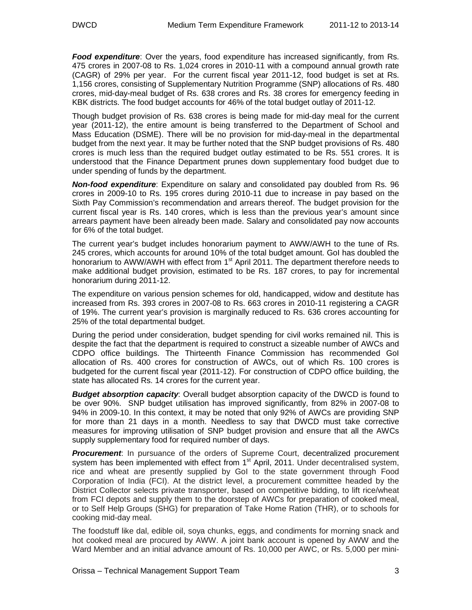**Food expenditure**: Over the years, food expenditure has increased significantly, from Rs. 475 crores in 2007-08 to Rs. 1,024 crores in 2010-11 with a compound annual growth rate (CAGR) of 29% per year. For the current fiscal year 2011-12, food budget is set at Rs. 1,156 crores, consisting of Supplementary Nutrition Programme (SNP) allocations of Rs. 480 crores, mid-day-meal budget of Rs. 638 crores and Rs. 38 crores for emergency feeding in KBK districts. The food budget accounts for 46% of the total budget outlay of 2011-12.

Though budget provision of Rs. 638 crores is being made for mid-day meal for the current year (2011-12), the entire amount is being transferred to the Department of School and Mass Education (DSME). There will be no provision for mid-day-meal in the departmental budget from the next year. It may be further noted that the SNP budget provisions of Rs. 480 crores is much less than the required budget outlay estimated to be Rs. 551 crores. It is understood that the Finance Department prunes down supplementary food budget due to under spending of funds by the department.

**Non-food expenditure**: Expenditure on salary and consolidated pay doubled from Rs. 96 crores in 2009-10 to Rs. 195 crores during 2010-11 due to increase in pay based on the Sixth Pay Commission's recommendation and arrears thereof. The budget provision for the current fiscal year is Rs. 140 crores, which is less than the previous year's amount since arrears payment have been already been made. Salary and consolidated pay now accounts for 6% of the total budget.

The current year's budget includes honorarium payment to AWW/AWH to the tune of Rs. 245 crores, which accounts for around 10% of the total budget amount. GoI has doubled the honorarium to AWW/AWH with effect from 1<sup>st</sup> April 2011. The department therefore needs to make additional budget provision, estimated to be Rs. 187 crores, to pay for incremental honorarium during 2011-12.

The expenditure on various pension schemes for old, handicapped, widow and destitute has increased from Rs. 393 crores in 2007-08 to Rs. 663 crores in 2010-11 registering a CAGR of 19%. The current year's provision is marginally reduced to Rs. 636 crores accounting for 25% of the total departmental budget.

During the period under consideration, budget spending for civil works remained nil. This is despite the fact that the department is required to construct a sizeable number of AWCs and CDPO office buildings. The Thirteenth Finance Commission has recommended GoI allocation of Rs. 400 crores for construction of AWCs, out of which Rs. 100 crores is budgeted for the current fiscal year (2011-12). For construction of CDPO office building, the state has allocated Rs. 14 crores for the current year.

**Budget absorption capacity**: Overall budget absorption capacity of the DWCD is found to be over 90%. SNP budget utilisation has improved significantly, from 82% in 2007-08 to 94% in 2009-10. In this context, it may be noted that only 92% of AWCs are providing SNP for more than 21 days in a month. Needless to say that DWCD must take corrective measures for improving utilisation of SNP budget provision and ensure that all the AWCs supply supplementary food for required number of days.

**Procurement**: In pursuance of the orders of Supreme Court, decentralized procurement system has been implemented with effect from 1<sup>st</sup> April, 2011. Under decentralised system, rice and wheat are presently supplied by GoI to the state government through Food Corporation of India (FCI). At the district level, a procurement committee headed by the District Collector selects private transporter, based on competitive bidding, to lift rice/wheat from FCI depots and supply them to the doorstep of AWCs for preparation of cooked meal, or to Self Help Groups (SHG) for preparation of Take Home Ration (THR), or to schools for cooking mid-day meal.

The foodstuff like dal, edible oil, soya chunks, eggs, and condiments for morning snack and hot cooked meal are procured by AWW. A joint bank account is opened by AWW and the Ward Member and an initial advance amount of Rs. 10,000 per AWC, or Rs. 5,000 per mini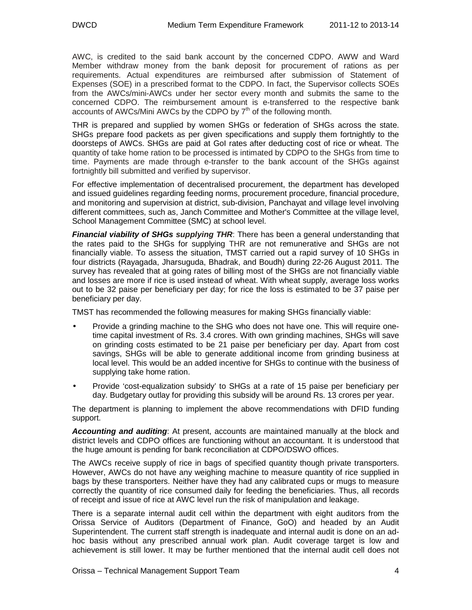AWC, is credited to the said bank account by the concerned CDPO. AWW and Ward Member withdraw money from the bank deposit for procurement of rations as per requirements. Actual expenditures are reimbursed after submission of Statement of Expenses (SOE) in a prescribed format to the CDPO. In fact, the Supervisor collects SOEs from the AWCs/mini-AWCs under her sector every month and submits the same to the concerned CDPO. The reimbursement amount is e-transferred to the respective bank accounts of AWCs/Mini AWCs by the CDPO by  $7<sup>th</sup>$  of the following month.

THR is prepared and supplied by women SHGs or federation of SHGs across the state. SHGs prepare food packets as per given specifications and supply them fortnightly to the doorsteps of AWCs. SHGs are paid at GoI rates after deducting cost of rice or wheat. The quantity of take home ration to be processed is intimated by CDPO to the SHGs from time to time. Payments are made through e-transfer to the bank account of the SHGs against fortnightly bill submitted and verified by supervisor.

For effective implementation of decentralised procurement, the department has developed and issued guidelines regarding feeding norms, procurement procedure, financial procedure, and monitoring and supervision at district, sub-division, Panchayat and village level involving different committees, such as, Janch Committee and Mother's Committee at the village level, School Management Committee (SMC) at school level.

**Financial viability of SHGs supplying THR**: There has been a general understanding that the rates paid to the SHGs for supplying THR are not remunerative and SHGs are not financially viable. To assess the situation, TMST carried out a rapid survey of 10 SHGs in four districts (Rayagada, Jharsuguda, Bhadrak, and Boudh) during 22-26 August 2011. The survey has revealed that at going rates of billing most of the SHGs are not financially viable and losses are more if rice is used instead of wheat. With wheat supply, average loss works out to be 32 paise per beneficiary per day; for rice the loss is estimated to be 37 paise per beneficiary per day.

TMST has recommended the following measures for making SHGs financially viable:

- Provide a grinding machine to the SHG who does not have one. This will require onetime capital investment of Rs. 3.4 crores. With own grinding machines, SHGs will save on grinding costs estimated to be 21 paise per beneficiary per day. Apart from cost savings, SHGs will be able to generate additional income from grinding business at local level. This would be an added incentive for SHGs to continue with the business of supplying take home ration.
- Provide 'cost-equalization subsidy' to SHGs at a rate of 15 paise per beneficiary per day. Budgetary outlay for providing this subsidy will be around Rs. 13 crores per year.

The department is planning to implement the above recommendations with DFID funding support.

**Accounting and auditing**: At present, accounts are maintained manually at the block and district levels and CDPO offices are functioning without an accountant. It is understood that the huge amount is pending for bank reconciliation at CDPO/DSWO offices.

The AWCs receive supply of rice in bags of specified quantity though private transporters. However, AWCs do not have any weighing machine to measure quantity of rice supplied in bags by these transporters. Neither have they had any calibrated cups or mugs to measure correctly the quantity of rice consumed daily for feeding the beneficiaries. Thus, all records of receipt and issue of rice at AWC level run the risk of manipulation and leakage.

There is a separate internal audit cell within the department with eight auditors from the Orissa Service of Auditors (Department of Finance, GoO) and headed by an Audit Superintendent. The current staff strength is inadequate and internal audit is done on an adhoc basis without any prescribed annual work plan. Audit coverage target is low and achievement is still lower. It may be further mentioned that the internal audit cell does not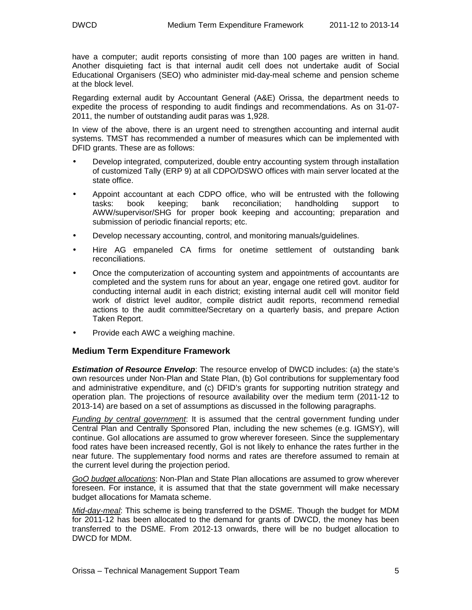have a computer; audit reports consisting of more than 100 pages are written in hand. Another disquieting fact is that internal audit cell does not undertake audit of Social Educational Organisers (SEO) who administer mid-day-meal scheme and pension scheme at the block level.

Regarding external audit by Accountant General (A&E) Orissa, the department needs to expedite the process of responding to audit findings and recommendations. As on 31-07- 2011, the number of outstanding audit paras was 1,928.

In view of the above, there is an urgent need to strengthen accounting and internal audit systems. TMST has recommended a number of measures which can be implemented with DFID grants. These are as follows:

- Develop integrated, computerized, double entry accounting system through installation of customized Tally (ERP 9) at all CDPO/DSWO offices with main server located at the state office.
- Appoint accountant at each CDPO office, who will be entrusted with the following tasks: book keeping; bank reconciliation; handholding support to AWW/supervisor/SHG for proper book keeping and accounting; preparation and submission of periodic financial reports; etc.
- Develop necessary accounting, control, and monitoring manuals/guidelines.
- Hire AG empaneled CA firms for onetime settlement of outstanding bank reconciliations.
- Once the computerization of accounting system and appointments of accountants are completed and the system runs for about an year, engage one retired govt. auditor for conducting internal audit in each district; existing internal audit cell will monitor field work of district level auditor, compile district audit reports, recommend remedial actions to the audit committee/Secretary on a quarterly basis, and prepare Action Taken Report.
- Provide each AWC a weighing machine.

#### **Medium Term Expenditure Framework**

**Estimation of Resource Envelop**: The resource envelop of DWCD includes: (a) the state's own resources under Non-Plan and State Plan, (b) GoI contributions for supplementary food and administrative expenditure, and (c) DFID's grants for supporting nutrition strategy and operation plan. The projections of resource availability over the medium term (2011-12 to 2013-14) are based on a set of assumptions as discussed in the following paragraphs.

**Funding by central government**. It is assumed that the central government funding under Central Plan and Centrally Sponsored Plan, including the new schemes (e.g. IGMSY), will continue. GoI allocations are assumed to grow wherever foreseen. Since the supplementary food rates have been increased recently, GoI is not likely to enhance the rates further in the near future. The supplementary food norms and rates are therefore assumed to remain at the current level during the projection period.

GoO budget allocations: Non-Plan and State Plan allocations are assumed to grow wherever foreseen. For instance, it is assumed that that the state government will make necessary budget allocations for Mamata scheme.

Mid-day-meal: This scheme is being transferred to the DSME. Though the budget for MDM for 2011-12 has been allocated to the demand for grants of DWCD, the money has been transferred to the DSME. From 2012-13 onwards, there will be no budget allocation to DWCD for MDM.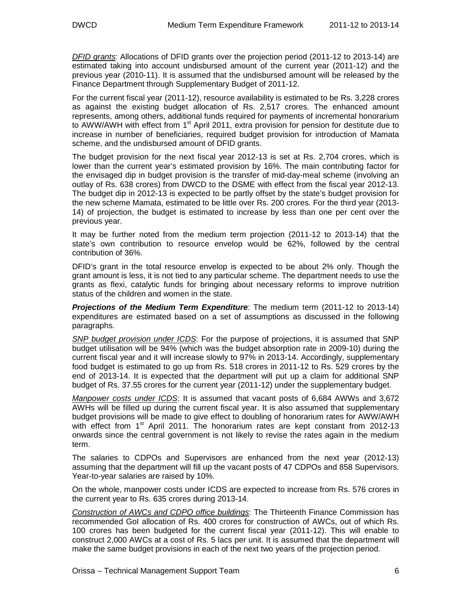DFID grants: Allocations of DFID grants over the projection period (2011-12 to 2013-14) are estimated taking into account undisbursed amount of the current year (2011-12) and the previous year (2010-11). It is assumed that the undisbursed amount will be released by the Finance Department through Supplementary Budget of 2011-12.

For the current fiscal year (2011-12), resource availability is estimated to be Rs. 3,228 crores as against the existing budget allocation of Rs. 2,517 crores. The enhanced amount represents, among others, additional funds required for payments of incremental honorarium to AWW/AWH with effect from 1<sup>st</sup> April 2011, extra provision for pension for destitute due to increase in number of beneficiaries, required budget provision for introduction of Mamata scheme, and the undisbursed amount of DFID grants.

The budget provision for the next fiscal year 2012-13 is set at Rs. 2,704 crores, which is lower than the current year's estimated provision by 16%. The main contributing factor for the envisaged dip in budget provision is the transfer of mid-day-meal scheme (involving an outlay of Rs. 638 crores) from DWCD to the DSME with effect from the fiscal year 2012-13. The budget dip in 2012-13 is expected to be partly offset by the state's budget provision for the new scheme Mamata, estimated to be little over Rs. 200 crores. For the third year (2013- 14) of projection, the budget is estimated to increase by less than one per cent over the previous year.

It may be further noted from the medium term projection (2011-12 to 2013-14) that the state's own contribution to resource envelop would be 62%, followed by the central contribution of 36%.

DFID's grant in the total resource envelop is expected to be about 2% only. Though the grant amount is less, it is not tied to any particular scheme. The department needs to use the grants as flexi, catalytic funds for bringing about necessary reforms to improve nutrition status of the children and women in the state.

**Projections of the Medium Term Expenditure**: The medium term (2011-12 to 2013-14) expenditures are estimated based on a set of assumptions as discussed in the following paragraphs.

SNP budget provision under ICDS: For the purpose of projections, it is assumed that SNP budget utilisation will be 94% (which was the budget absorption rate in 2009-10) during the current fiscal year and it will increase slowly to 97% in 2013-14. Accordingly, supplementary food budget is estimated to go up from Rs. 518 crores in 2011-12 to Rs. 529 crores by the end of 2013-14. It is expected that the department will put up a claim for additional SNP budget of Rs. 37.55 crores for the current year (2011-12) under the supplementary budget.

Manpower costs under ICDS: It is assumed that vacant posts of 6,684 AWWs and 3,672 AWHs will be filled up during the current fiscal year. It is also assumed that supplementary budget provisions will be made to give effect to doubling of honorarium rates for AWW/AWH with effect from  $1<sup>st</sup>$  April 2011. The honorarium rates are kept constant from 2012-13 onwards since the central government is not likely to revise the rates again in the medium term.

The salaries to CDPOs and Supervisors are enhanced from the next year (2012-13) assuming that the department will fill up the vacant posts of 47 CDPOs and 858 Supervisors. Year-to-year salaries are raised by 10%.

On the whole, manpower costs under ICDS are expected to increase from Rs. 576 crores in the current year to Rs. 635 crores during 2013-14.

Construction of AWCs and CDPO office buildings: The Thirteenth Finance Commission has recommended GoI allocation of Rs. 400 crores for construction of AWCs, out of which Rs. 100 crores has been budgeted for the current fiscal year (2011-12). This will enable to construct 2,000 AWCs at a cost of Rs. 5 lacs per unit. It is assumed that the department will make the same budget provisions in each of the next two years of the projection period.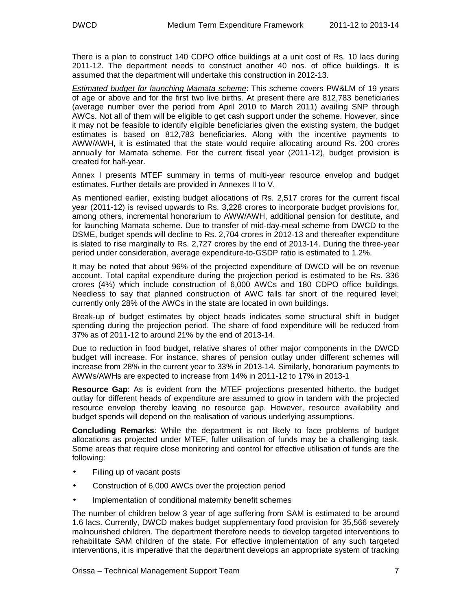There is a plan to construct 140 CDPO office buildings at a unit cost of Rs. 10 lacs during 2011-12. The department needs to construct another 40 nos. of office buildings. It is assumed that the department will undertake this construction in 2012-13.

**Estimated budget for launching Mamata scheme**: This scheme covers PW&LM of 19 years of age or above and for the first two live births. At present there are 812,783 beneficiaries (average number over the period from April 2010 to March 2011) availing SNP through AWCs. Not all of them will be eligible to get cash support under the scheme. However, since it may not be feasible to identify eligible beneficiaries given the existing system, the budget estimates is based on 812,783 beneficiaries. Along with the incentive payments to AWW/AWH, it is estimated that the state would require allocating around Rs. 200 crores annually for Mamata scheme. For the current fiscal year (2011-12), budget provision is created for half-year.

Annex I presents MTEF summary in terms of multi-year resource envelop and budget estimates. Further details are provided in Annexes II to V.

As mentioned earlier, existing budget allocations of Rs. 2,517 crores for the current fiscal year (2011-12) is revised upwards to Rs. 3,228 crores to incorporate budget provisions for, among others, incremental honorarium to AWW/AWH, additional pension for destitute, and for launching Mamata scheme. Due to transfer of mid-day-meal scheme from DWCD to the DSME, budget spends will decline to Rs. 2,704 crores in 2012-13 and thereafter expenditure is slated to rise marginally to Rs. 2,727 crores by the end of 2013-14. During the three-year period under consideration, average expenditure-to-GSDP ratio is estimated to 1.2%.

It may be noted that about 96% of the projected expenditure of DWCD will be on revenue account. Total capital expenditure during the projection period is estimated to be Rs. 336 crores (4%) which include construction of 6,000 AWCs and 180 CDPO office buildings. Needless to say that planned construction of AWC falls far short of the required level; currently only 28% of the AWCs in the state are located in own buildings.

Break-up of budget estimates by object heads indicates some structural shift in budget spending during the projection period. The share of food expenditure will be reduced from 37% as of 2011-12 to around 21% by the end of 2013-14.

Due to reduction in food budget, relative shares of other major components in the DWCD budget will increase. For instance, shares of pension outlay under different schemes will increase from 28% in the current year to 33% in 2013-14. Similarly, honorarium payments to AWWs/AWHs are expected to increase from 14% in 2011-12 to 17% in 2013-1

**Resource Gap**: As is evident from the MTEF projections presented hitherto, the budget outlay for different heads of expenditure are assumed to grow in tandem with the projected resource envelop thereby leaving no resource gap. However, resource availability and budget spends will depend on the realisation of various underlying assumptions.

**Concluding Remarks**: While the department is not likely to face problems of budget allocations as projected under MTEF, fuller utilisation of funds may be a challenging task. Some areas that require close monitoring and control for effective utilisation of funds are the following:

- Filling up of vacant posts
- Construction of 6,000 AWCs over the projection period
- Implementation of conditional maternity benefit schemes

The number of children below 3 year of age suffering from SAM is estimated to be around 1.6 lacs. Currently, DWCD makes budget supplementary food provision for 35,566 severely malnourished children. The department therefore needs to develop targeted interventions to rehabilitate SAM children of the state. For effective implementation of any such targeted interventions, it is imperative that the department develops an appropriate system of tracking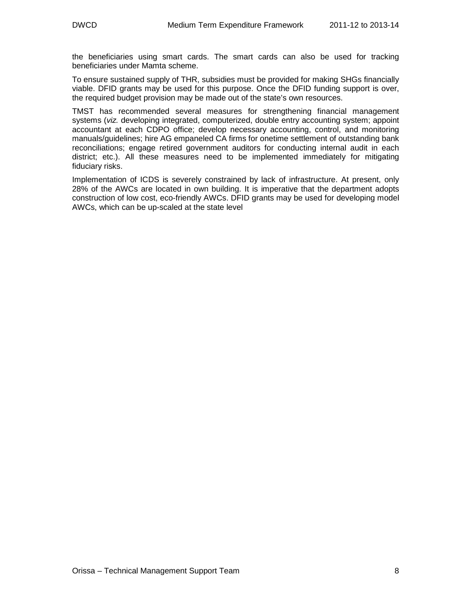the beneficiaries using smart cards. The smart cards can also be used for tracking beneficiaries under Mamta scheme.

To ensure sustained supply of THR, subsidies must be provided for making SHGs financially viable. DFID grants may be used for this purpose. Once the DFID funding support is over, the required budget provision may be made out of the state's own resources.

TMST has recommended several measures for strengthening financial management systems (viz. developing integrated, computerized, double entry accounting system; appoint accountant at each CDPO office; develop necessary accounting, control, and monitoring manuals/guidelines; hire AG empaneled CA firms for onetime settlement of outstanding bank reconciliations; engage retired government auditors for conducting internal audit in each district; etc.). All these measures need to be implemented immediately for mitigating fiduciary risks.

Implementation of ICDS is severely constrained by lack of infrastructure. At present, only 28% of the AWCs are located in own building. It is imperative that the department adopts construction of low cost, eco-friendly AWCs. DFID grants may be used for developing model AWCs, which can be up-scaled at the state level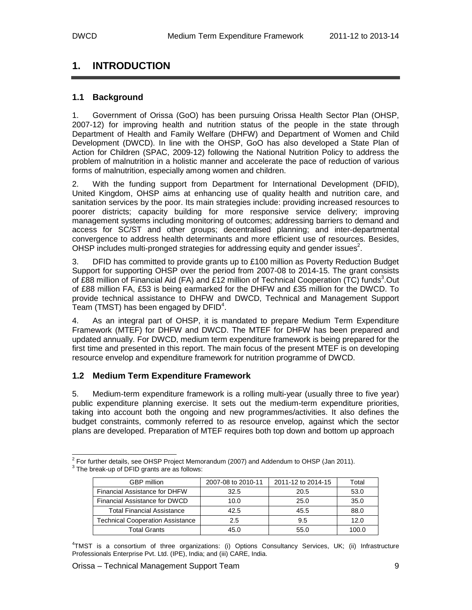# **1. INTRODUCTION**

## **1.1 Background**

1. Government of Orissa (GoO) has been pursuing Orissa Health Sector Plan (OHSP, 2007-12) for improving health and nutrition status of the people in the state through Department of Health and Family Welfare (DHFW) and Department of Women and Child Development (DWCD). In line with the OHSP, GoO has also developed a State Plan of Action for Children (SPAC, 2009-12) following the National Nutrition Policy to address the problem of malnutrition in a holistic manner and accelerate the pace of reduction of various forms of malnutrition, especially among women and children.

2. With the funding support from Department for International Development (DFID), United Kingdom, OHSP aims at enhancing use of quality health and nutrition care, and sanitation services by the poor. Its main strategies include: providing increased resources to poorer districts; capacity building for more responsive service delivery; improving management systems including monitoring of outcomes; addressing barriers to demand and access for SC/ST and other groups; decentralised planning; and inter-departmental convergence to address health determinants and more efficient use of resources. Besides, OHSP includes multi-pronged strategies for addressing equity and gender issues<sup>2</sup>.

3. DFID has committed to provide grants up to £100 million as Poverty Reduction Budget Support for supporting OHSP over the period from 2007-08 to 2014-15. The grant consists of £88 million of Financial Aid (FA) and £12 million of Technical Cooperation (TC) funds<sup>3</sup>.Out of £88 million FA, £53 is being earmarked for the DHFW and £35 million for the DWCD. To provide technical assistance to DHFW and DWCD, Technical and Management Support Team (TMST) has been engaged by  $DFID<sup>4</sup>$ .

4. As an integral part of OHSP, it is mandated to prepare Medium Term Expenditure Framework (MTEF) for DHFW and DWCD. The MTEF for DHFW has been prepared and updated annually. For DWCD, medium term expenditure framework is being prepared for the first time and presented in this report. The main focus of the present MTEF is on developing resource envelop and expenditure framework for nutrition programme of DWCD.

#### **1.2 Medium Term Expenditure Framework**

5. Medium-term expenditure framework is a rolling multi-year (usually three to five year) public expenditure planning exercise. It sets out the medium-term expenditure priorities, taking into account both the ongoing and new programmes/activities. It also defines the budget constraints, commonly referred to as resource envelop, against which the sector plans are developed. Preparation of MTEF requires both top down and bottom up approach

 2 For further details, see OHSP Project Memorandum (2007) and Addendum to OHSP (Jan 2011).  $3$  The break-up of DFID grants are as follows:

| <b>GBP</b> million                      | 2007-08 to 2010-11 | 2011-12 to 2014-15 | Total |
|-----------------------------------------|--------------------|--------------------|-------|
| Financial Assistance for DHFW           | 32.5               | 20.5               | 53.0  |
| Financial Assistance for DWCD           | 10.0               | 25.0               | 35.0  |
| <b>Total Financial Assistance</b>       | 42.5               | 45.5               | 88.0  |
| <b>Technical Cooperation Assistance</b> | 2.5                | 9.5                | 12.0  |
| <b>Total Grants</b>                     | 45.0               | 55.0               | 100.0 |

4 TMST is a consortium of three organizations: (i) Options Consultancy Services, UK; (ii) Infrastructure Professionals Enterprise Pvt. Ltd. (IPE), India; and (iii) CARE, India.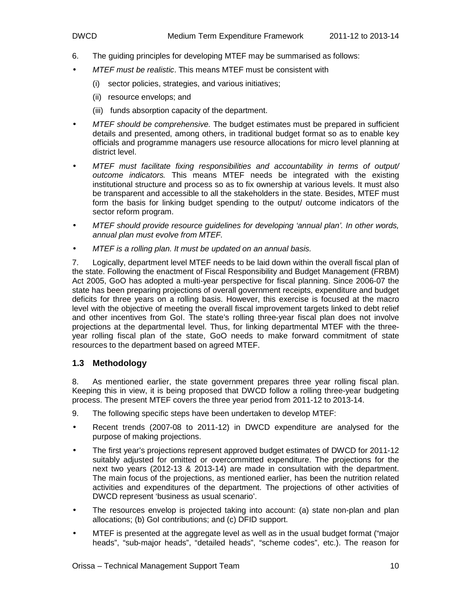- 6. The guiding principles for developing MTEF may be summarised as follows:
- MTEF must be realistic. This means MTEF must be consistent with
	- (i) sector policies, strategies, and various initiatives;
	- (ii) resource envelops; and
	- (iii) funds absorption capacity of the department.
- MTEF should be comprehensive. The budget estimates must be prepared in sufficient details and presented, among others, in traditional budget format so as to enable key officials and programme managers use resource allocations for micro level planning at district level.
- MTEF must facilitate fixing responsibilities and accountability in terms of output/ outcome indicators. This means MTEF needs be integrated with the existing institutional structure and process so as to fix ownership at various levels. It must also be transparent and accessible to all the stakeholders in the state. Besides, MTEF must form the basis for linking budget spending to the output/ outcome indicators of the sector reform program.
- MTEF should provide resource guidelines for developing 'annual plan'. In other words, annual plan must evolve from MTEF.
- MTEF is a rolling plan. It must be updated on an annual basis.

7. Logically, department level MTEF needs to be laid down within the overall fiscal plan of the state. Following the enactment of Fiscal Responsibility and Budget Management (FRBM) Act 2005, GoO has adopted a multi-year perspective for fiscal planning. Since 2006-07 the state has been preparing projections of overall government receipts, expenditure and budget deficits for three years on a rolling basis. However, this exercise is focused at the macro level with the objective of meeting the overall fiscal improvement targets linked to debt relief and other incentives from GoI. The state's rolling three-year fiscal plan does not involve projections at the departmental level. Thus, for linking departmental MTEF with the threeyear rolling fiscal plan of the state, GoO needs to make forward commitment of state resources to the department based on agreed MTEF.

#### **1.3 Methodology**

8. As mentioned earlier, the state government prepares three year rolling fiscal plan. Keeping this in view, it is being proposed that DWCD follow a rolling three-year budgeting process. The present MTEF covers the three year period from 2011-12 to 2013-14.

- 9. The following specific steps have been undertaken to develop MTEF:
- Recent trends (2007-08 to 2011-12) in DWCD expenditure are analysed for the purpose of making projections.
- The first year's projections represent approved budget estimates of DWCD for 2011-12 suitably adjusted for omitted or overcommitted expenditure. The projections for the next two years (2012-13 & 2013-14) are made in consultation with the department. The main focus of the projections, as mentioned earlier, has been the nutrition related activities and expenditures of the department. The projections of other activities of DWCD represent 'business as usual scenario'.
- The resources envelop is projected taking into account: (a) state non-plan and plan allocations; (b) GoI contributions; and (c) DFID support.
- MTEF is presented at the aggregate level as well as in the usual budget format ("major heads", "sub-major heads", "detailed heads", "scheme codes", etc.). The reason for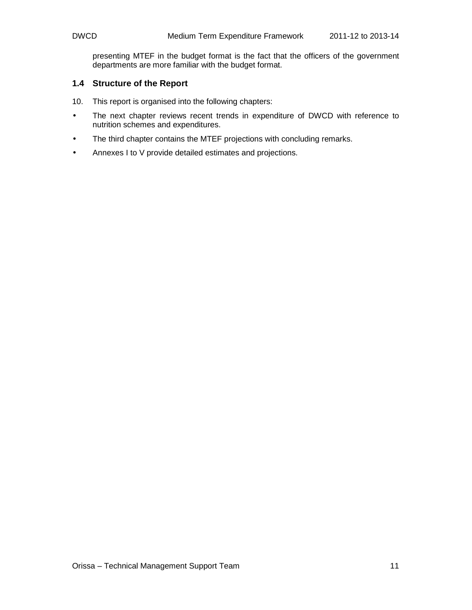presenting MTEF in the budget format is the fact that the officers of the government departments are more familiar with the budget format.

#### **1.4 Structure of the Report**

- 10. This report is organised into the following chapters:
- The next chapter reviews recent trends in expenditure of DWCD with reference to nutrition schemes and expenditures.
- The third chapter contains the MTEF projections with concluding remarks.
- Annexes I to V provide detailed estimates and projections.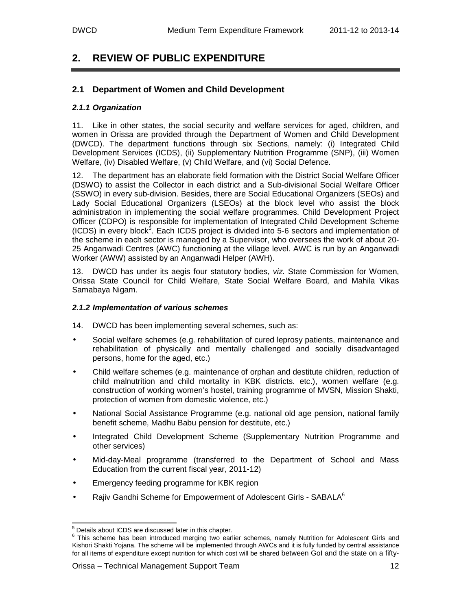# **2. REVIEW OF PUBLIC EXPENDITURE**

#### **2.1 Department of Women and Child Development**

#### **2.1.1 Organization**

11. Like in other states, the social security and welfare services for aged, children, and women in Orissa are provided through the Department of Women and Child Development (DWCD). The department functions through six Sections, namely: (i) Integrated Child Development Services (ICDS), (ii) Supplementary Nutrition Programme (SNP), (iii) Women Welfare, (iv) Disabled Welfare, (v) Child Welfare, and (vi) Social Defence.

12. The department has an elaborate field formation with the District Social Welfare Officer (DSWO) to assist the Collector in each district and a Sub-divisional Social Welfare Officer (SSWO) in every sub-division. Besides, there are Social Educational Organizers (SEOs) and Lady Social Educational Organizers (LSEOs) at the block level who assist the block administration in implementing the social welfare programmes. Child Development Project Officer (CDPO) is responsible for implementation of Integrated Child Development Scheme (ICDS) in every block<sup>5</sup>. Each ICDS project is divided into 5-6 sectors and implementation of the scheme in each sector is managed by a Supervisor, who oversees the work of about 20- 25 Anganwadi Centres (AWC) functioning at the village level. AWC is run by an Anganwadi Worker (AWW) assisted by an Anganwadi Helper (AWH).

13. DWCD has under its aegis four statutory bodies, viz. State Commission for Women, Orissa State Council for Child Welfare, State Social Welfare Board, and Mahila Vikas Samabaya Nigam.

#### **2.1.2 Implementation of various schemes**

- 14. DWCD has been implementing several schemes, such as:
- Social welfare schemes (e.g. rehabilitation of cured leprosy patients, maintenance and rehabilitation of physically and mentally challenged and socially disadvantaged persons, home for the aged, etc.)
- Child welfare schemes (e.g. maintenance of orphan and destitute children, reduction of child malnutrition and child mortality in KBK districts. etc.), women welfare (e.g. construction of working women's hostel, training programme of MVSN, Mission Shakti, protection of women from domestic violence, etc.)
- National Social Assistance Programme (e.g. national old age pension, national family benefit scheme, Madhu Babu pension for destitute, etc.)
- Integrated Child Development Scheme (Supplementary Nutrition Programme and other services)
- Mid-day-Meal programme (transferred to the Department of School and Mass Education from the current fiscal year, 2011-12)
- Emergency feeding programme for KBK region
- Rajiv Gandhi Scheme for Empowerment of Adolescent Girls SABALA<sup>6</sup>

 5 Details about ICDS are discussed later in this chapter.

<sup>&</sup>lt;sup>6</sup> This scheme has been introduced merging two earlier schemes, namely Nutrition for Adolescent Girls and Kishori Shakti Yojana. The scheme will be implemented through AWCs and it is fully funded by central assistance for all items of expenditure except nutrition for which cost will be shared between GoI and the state on a fifty-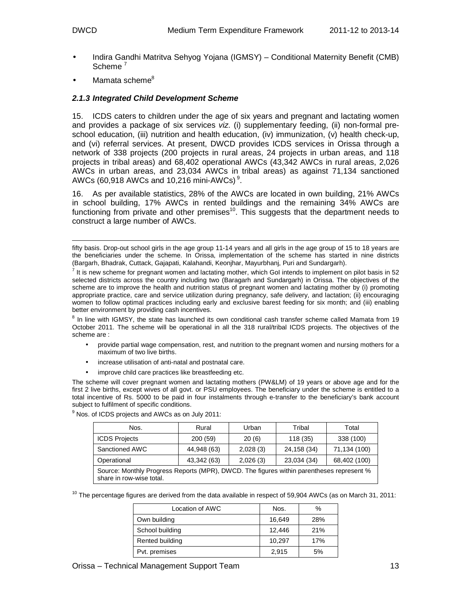- Indira Gandhi Matritva Sehyog Yojana (IGMSY) Conditional Maternity Benefit (CMB) Scheme<sup>7</sup>
- Mamata scheme<sup>8</sup>

#### **2.1.3 Integrated Child Development Scheme**

15. ICDS caters to children under the age of six years and pregnant and lactating women and provides a package of six services viz. (i) supplementary feeding, (ii) non-formal preschool education, (iii) nutrition and health education, (iv) immunization, (v) health check-up, and (vi) referral services. At present, DWCD provides ICDS services in Orissa through a network of 338 projects (200 projects in rural areas, 24 projects in urban areas, and 118 projects in tribal areas) and 68,402 operational AWCs (43,342 AWCs in rural areas, 2,026 AWCs in urban areas, and 23,034 AWCs in tribal areas) as against 71,134 sanctioned AWCs (60,918 AWCs and 10,216 mini-AWCs)<sup>9</sup>.

16. As per available statistics, 28% of the AWCs are located in own building, 21% AWCs in school building, 17% AWCs in rented buildings and the remaining 34% AWCs are functioning from private and other premises $10$ . This suggests that the department needs to construct a large number of AWCs.

 $^8$  In line with IGMSY, the state has launched its own conditional cash transfer scheme called Mamata from 19 October 2011. The scheme will be operational in all the 318 rural/tribal ICDS projects. The objectives of the scheme are :

- provide partial wage compensation, rest, and nutrition to the pregnant women and nursing mothers for a maximum of two live births.
- increase utilisation of anti-natal and postnatal care.
- improve child care practices like breastfeeding etc.

The scheme will cover pregnant women and lactating mothers (PW&LM) of 19 years or above age and for the first 2 live births, except wives of all govt. or PSU employees. The beneficiary under the scheme is entitled to a total incentive of Rs. 5000 to be paid in four instalments through e-transfer to the beneficiary's bank account subject to fulfilment of specific conditions.

| Nos.                                                                                                                 | Rural       | Urban    | Tribal      | Total        |  |
|----------------------------------------------------------------------------------------------------------------------|-------------|----------|-------------|--------------|--|
| <b>ICDS Projects</b>                                                                                                 | 200 (59)    | 20(6)    | 118 (35)    | 338 (100)    |  |
| Sanctioned AWC                                                                                                       | 44,948 (63) | 2,028(3) | 24,158 (34) | 71,134 (100) |  |
| Operational                                                                                                          | 43,342 (63) | 2,026(3) | 23,034 (34) | 68,402 (100) |  |
| Source: Monthly Progress Reports (MPR), DWCD. The figures within parentheses represent %<br>share in row-wise total. |             |          |             |              |  |

 $9$  Nos. of ICDS projects and AWCs as on July 2011:

 $10$  The percentage figures are derived from the data available in respect of 59,904 AWCs (as on March 31, 2011:

| Location of AWC | Nos.   | %   |
|-----------------|--------|-----|
| Own building    | 16,649 | 28% |
| School building | 12.446 | 21% |
| Rented building | 10.297 | 17% |
| Pvt. premises   | 2,915  | 5%  |

l fifty basis. Drop-out school girls in the age group 11-14 years and all girls in the age group of 15 to 18 years are the beneficiaries under the scheme. In Orissa, implementation of the scheme has started in nine districts (Bargarh, Bhadrak, Cuttack, Gajapati, Kalahandi, Keonjhar, Mayurbhanj, Puri and Sundargarh).

 $^7$  It is new scheme for pregnant women and lactating mother, which GoI intends to implement on pilot basis in 52 selected districts across the country including two (Baragarh and Sundargarh) in Orissa. The objectives of the scheme are to improve the health and nutrition status of pregnant women and lactating mother by (i) promoting appropriate practice, care and service utilization during pregnancy, safe delivery, and lactation; (ii) encouraging women to follow optimal practices including early and exclusive barest feeding for six month; and (iii) enabling better environment by providing cash incentives.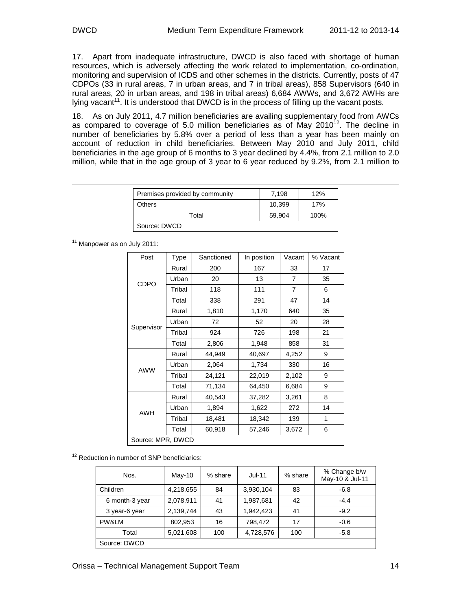$\overline{a}$ 

17. Apart from inadequate infrastructure, DWCD is also faced with shortage of human resources, which is adversely affecting the work related to implementation, co-ordination, monitoring and supervision of ICDS and other schemes in the districts. Currently, posts of 47 CDPOs (33 in rural areas, 7 in urban areas, and 7 in tribal areas), 858 Supervisors (640 in rural areas, 20 in urban areas, and 198 in tribal areas) 6,684 AWWs, and 3,672 AWHs are lying vacant<sup>11</sup>. It is understood that DWCD is in the process of filling up the vacant posts.

18. As on July 2011, 4.7 million beneficiaries are availing supplementary food from AWCs as compared to coverage of 5.0 million beneficiaries as of May  $2010^{12}$ . The decline in number of beneficiaries by 5.8% over a period of less than a year has been mainly on account of reduction in child beneficiaries. Between May 2010 and July 2011, child beneficiaries in the age group of 6 months to 3 year declined by 4.4%, from 2.1 million to 2.0 million, while that in the age group of 3 year to 6 year reduced by 9.2%, from 2.1 million to

| Premises provided by community | 7.198  | 12%  |
|--------------------------------|--------|------|
| <b>Others</b>                  | 10.399 | 17%  |
| Total                          | 59.904 | 100% |
| Source: DWCD                   |        |      |

<sup>11</sup> Manpower as on July 2011:

| Post              | Type   | Sanctioned | In position | Vacant         | % Vacant |  |
|-------------------|--------|------------|-------------|----------------|----------|--|
|                   | Rural  | 200        | 167         | 33             | 17       |  |
| CDPO              | Urban  | 20         | 13          | $\overline{7}$ | 35       |  |
|                   | Tribal | 118        | 111         | $\overline{7}$ | 6        |  |
|                   | Total  | 338        | 291         | 47             | 14       |  |
|                   | Rural  | 1,810      | 1,170       | 640            | 35       |  |
|                   | Urban  | 72         | 52          | 20             | 28       |  |
| Supervisor        | Tribal | 924        | 726         | 198            | 21       |  |
|                   | Total  | 2,806      | 1,948       | 858            | 31       |  |
|                   | Rural  | 44,949     | 40,697      | 4,252          | 9        |  |
| <b>AWW</b>        | Urban  | 2,064      | 1,734       | 330            | 16       |  |
|                   | Tribal | 24,121     | 22,019      | 2,102          | 9        |  |
|                   | Total  | 71,134     | 64,450      | 6,684          | 9        |  |
|                   | Rural  | 40,543     | 37,282      | 3,261          | 8        |  |
|                   | Urban  | 1,894      | 1,622       | 272            | 14       |  |
| AWH               | Tribal | 18,481     | 18,342      | 139            | 1        |  |
|                   | Total  | 60,918     | 57,246      | 3,672          | 6        |  |
| Source: MPR, DWCD |        |            |             |                |          |  |

<sup>12</sup> Reduction in number of SNP beneficiaries:

| Nos.           | $May-10$  | % share | $Jul-11$  | % share | % Change b/w<br>May-10 & Jul-11 |
|----------------|-----------|---------|-----------|---------|---------------------------------|
| Children       | 4,218,655 | 84      | 3,930,104 | 83      | $-6.8$                          |
| 6 month-3 year | 2,078,911 | 41      | 1,987,681 | 42      | $-4.4$                          |
| 3 year-6 year  | 2,139,744 | 43      | 1,942,423 | 41      | $-9.2$                          |
| PW&LM          | 802,953   | 16      | 798.472   | 17      | $-0.6$                          |
| Total          | 5,021,608 | 100     | 4,728,576 | 100     | $-5.8$                          |
| Source: DWCD   |           |         |           |         |                                 |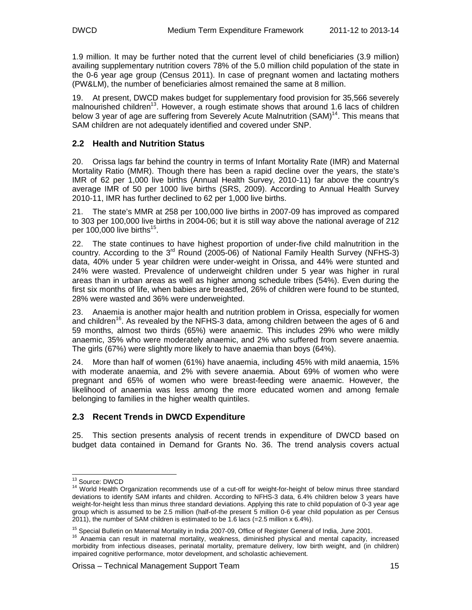1.9 million. It may be further noted that the current level of child beneficiaries (3.9 million) availing supplementary nutrition covers 78% of the 5.0 million child population of the state in the 0-6 year age group (Census 2011). In case of pregnant women and lactating mothers (PW&LM), the number of beneficiaries almost remained the same at 8 million.

19. At present, DWCD makes budget for supplementary food provision for 35,566 severely malnourished children<sup>13</sup>. However, a rough estimate shows that around 1.6 lacs of children below 3 year of age are suffering from Severely Acute Malnutrition (SAM)<sup>14</sup>. This means that SAM children are not adequately identified and covered under SNP.

## **2.2 Health and Nutrition Status**

20. Orissa lags far behind the country in terms of Infant Mortality Rate (IMR) and Maternal Mortality Ratio (MMR). Though there has been a rapid decline over the years, the state's IMR of 62 per 1,000 live births (Annual Health Survey, 2010-11) far above the country's average IMR of 50 per 1000 live births (SRS, 2009). According to Annual Health Survey 2010-11, IMR has further declined to 62 per 1,000 live births.

21. The state's MMR at 258 per 100,000 live births in 2007-09 has improved as compared to 303 per 100,000 live births in 2004-06; but it is still way above the national average of 212 per 100,000 live births<sup>15</sup>.

22. The state continues to have highest proportion of under-five child malnutrition in the country. According to the  $3^{rd}$  Round (2005-06) of National Family Health Survey (NFHS-3) data, 40% under 5 year children were under-weight in Orissa, and 44% were stunted and 24% were wasted. Prevalence of underweight children under 5 year was higher in rural areas than in urban areas as well as higher among schedule tribes (54%). Even during the first six months of life, when babies are breastfed, 26% of children were found to be stunted, 28% were wasted and 36% were underweighted.

23. Anaemia is another major health and nutrition problem in Orissa, especially for women and children<sup>16</sup>. As revealed by the NFHS-3 data, among children between the ages of 6 and 59 months, almost two thirds (65%) were anaemic. This includes 29% who were mildly anaemic, 35% who were moderately anaemic, and 2% who suffered from severe anaemia. The girls (67%) were slightly more likely to have anaemia than boys (64%).

24. More than half of women (61%) have anaemia, including 45% with mild anaemia, 15% with moderate anaemia, and 2% with severe anaemia. About 69% of women who were pregnant and 65% of women who were breast-feeding were anaemic. However, the likelihood of anaemia was less among the more educated women and among female belonging to families in the higher wealth quintiles.

## **2.3 Recent Trends in DWCD Expenditure**

25. This section presents analysis of recent trends in expenditure of DWCD based on budget data contained in Demand for Grants No. 36. The trend analysis covers actual

-

<sup>&</sup>lt;sup>13</sup> Source: DWCD

<sup>&</sup>lt;sup>14</sup> World Health Organization recommends use of a cut-off for weight-for-height of below minus three standard deviations to identify SAM infants and children. According to NFHS-3 data, 6.4% children below 3 years have weight-for-height less than minus three standard deviations. Applying this rate to child population of 0-3 year age group which is assumed to be 2.5 million (half-of-the present 5 million 0-6 year child population as per Census 2011), the number of SAM children is estimated to be 1.6 lacs (=2.5 million x 6.4%).

<sup>&</sup>lt;sup>15</sup> Special Bulletin on Maternal Mortality in India 2007-09, Office of Register General of India, June 2001.

<sup>&</sup>lt;sup>16</sup> Anaemia can result in maternal mortality, weakness, diminished physical and mental capacity, increased morbidity from infectious diseases, perinatal mortality, premature delivery, low birth weight, and (in children) impaired cognitive performance, motor development, and scholastic achievement.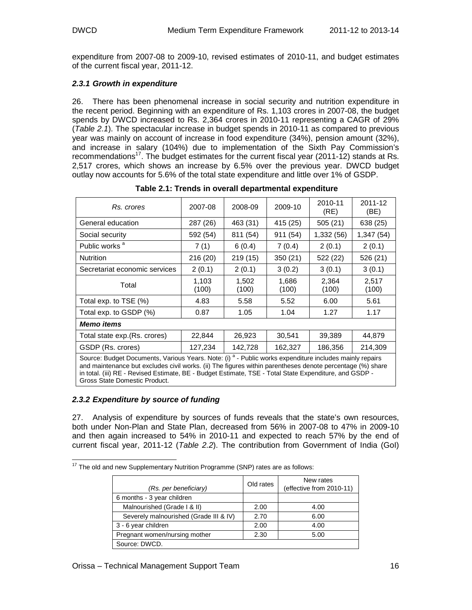expenditure from 2007-08 to 2009-10, revised estimates of 2010-11, and budget estimates of the current fiscal year, 2011-12.

#### **2.3.1 Growth in expenditure**

26. There has been phenomenal increase in social security and nutrition expenditure in the recent period. Beginning with an expenditure of Rs. 1,103 crores in 2007-08, the budget spends by DWCD increased to Rs. 2,364 crores in 2010-11 representing a CAGR of 29% (Table 2.1). The spectacular increase in budget spends in 2010-11 as compared to previous year was mainly on account of increase in food expenditure (34%), pension amount (32%), and increase in salary (104%) due to implementation of the Sixth Pay Commission's recommendations<sup>17</sup>. The budget estimates for the current fiscal year (2011-12) stands at Rs. 2,517 crores, which shows an increase by 6.5% over the previous year. DWCD budget outlay now accounts for 5.6% of the total state expenditure and little over 1% of GSDP.

| Rs. crores                                                                                                                                                                                                                        | 2007-08        | 2008-09        | 2009-10        | 2010-11<br>(RE) | 2011-12<br>(BE) |  |
|-----------------------------------------------------------------------------------------------------------------------------------------------------------------------------------------------------------------------------------|----------------|----------------|----------------|-----------------|-----------------|--|
| General education                                                                                                                                                                                                                 | 287 (26)       | 463 (31)       | 415 (25)       | 505(21)         | 638 (25)        |  |
| Social security                                                                                                                                                                                                                   | 592 (54)       | 811 (54)       | 911 (54)       | 1,332 (56)      | 1,347 (54)      |  |
| Public works <sup>a</sup>                                                                                                                                                                                                         | 7(1)           | 6(0.4)         | 7(0.4)         | 2(0.1)          | 2(0.1)          |  |
| <b>Nutrition</b>                                                                                                                                                                                                                  | 216 (20)       | 219(15)        | 350 (21)       | 522 (22)        | 526 (21)        |  |
| Secretariat economic services                                                                                                                                                                                                     | 2(0.1)         | 2(0.1)         | 3(0.2)         | 3(0.1)          | 3(0.1)          |  |
| Total                                                                                                                                                                                                                             | 1,103<br>(100) | 1,502<br>(100) | 1,686<br>(100) | 2,364<br>(100)  | 2,517<br>(100)  |  |
| Total exp. to TSE (%)                                                                                                                                                                                                             | 4.83           | 5.58           | 5.52           | 6.00            | 5.61            |  |
| Total exp. to GSDP (%)                                                                                                                                                                                                            | 0.87           | 1.05           | 1.04           | 1.27            | 1.17            |  |
| <b>Memo items</b>                                                                                                                                                                                                                 |                |                |                |                 |                 |  |
| Total state exp. (Rs. crores)                                                                                                                                                                                                     | 22,844         | 26,923         | 30,541         | 39,389          | 44,879          |  |
| GSDP (Rs. crores)                                                                                                                                                                                                                 | 127,234        | 142,728        | 162,327        | 186,356         | 214,309         |  |
| Source: Budget Documents, Various Years. Note: (i) <sup>a</sup> - Public works expenditure includes mainly repairs<br>and maintenance but evaludes givil works. (ii) The figures within parantheses denote perceptions (0/) share |                |                |                |                 |                 |  |

 **Table 2.1: Trends in overall departmental expenditure** 

e but excludes civil works. (ii) The figures within parentheses denote percentage in total. (iii) RE - Revised Estimate, BE - Budget Estimate, TSE - Total State Expenditure, and GSDP - Gross State Domestic Product.

#### **2.3.2 Expenditure by source of funding**

27. Analysis of expenditure by sources of funds reveals that the state's own resources, both under Non-Plan and State Plan, decreased from 56% in 2007-08 to 47% in 2009-10 and then again increased to 54% in 2010-11 and expected to reach 57% by the end of current fiscal year, 2011-12 (Table 2.2). The contribution from Government of India (GoI)

| <sup>17</sup> The old and new Supplementary Nutrition Programme (SNP) rates are as follows: |  |  |
|---------------------------------------------------------------------------------------------|--|--|

| (Rs. per beneficiary)                  | Old rates | New rates<br>(effective from 2010-11) |
|----------------------------------------|-----------|---------------------------------------|
| 6 months - 3 year children             |           |                                       |
| Malnourished (Grade I & II)            | 2.00      | 4.00                                  |
| Severely malnourished (Grade III & IV) | 2.70      | 6.00                                  |
| 3 - 6 year children                    | 2.00      | 4.00                                  |
| Pregnant women/nursing mother          | 2.30      | 5.00                                  |
| Source: DWCD.                          |           |                                       |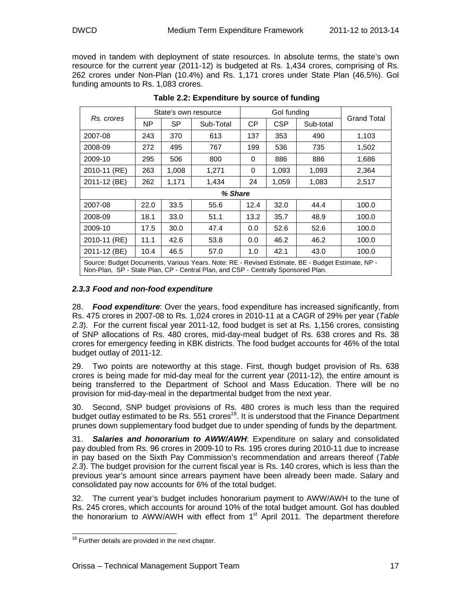moved in tandem with deployment of state resources. In absolute terms, the state's own resource for the current year (2011-12) is budgeted at Rs. 1,434 crores, comprising of Rs. 262 crores under Non-Plan (10.4%) and Rs. 1,171 crores under State Plan (46.5%). GoI funding amounts to Rs. 1,083 crores.

|                                                                                                                                                                                       |      | State's own resource |           | Gol funding |            |           |             |
|---------------------------------------------------------------------------------------------------------------------------------------------------------------------------------------|------|----------------------|-----------|-------------|------------|-----------|-------------|
| Rs. crores                                                                                                                                                                            | NΡ   | <b>SP</b>            | Sub-Total | CP.         | <b>CSP</b> | Sub-total | Grand Total |
| 2007-08                                                                                                                                                                               | 243  | 370                  | 613       | 137         | 353        | 490       | 1,103       |
| 2008-09                                                                                                                                                                               | 272  | 495                  | 767       | 199         | 536        | 735       | 1,502       |
| 2009-10                                                                                                                                                                               | 295  | 506                  | 800       | 0           | 886        | 886       | 1,686       |
| 2010-11 (RE)                                                                                                                                                                          | 263  | 1,008                | 1,271     | 0           | 1,093      | 1,093     | 2,364       |
| 2011-12 (BE)                                                                                                                                                                          | 262  | 1,171                | 1,434     | 24          | 1,059      | 1,083     | 2,517       |
| % Share                                                                                                                                                                               |      |                      |           |             |            |           |             |
| 2007-08                                                                                                                                                                               | 22.0 | 33.5                 | 55.6      | 12.4        | 32.0       | 44.4      | 100.0       |
| 2008-09                                                                                                                                                                               | 18.1 | 33.0                 | 51.1      | 13.2        | 35.7       | 48.9      | 100.0       |
| 2009-10                                                                                                                                                                               | 17.5 | 30.0                 | 47.4      | 0.0         | 52.6       | 52.6      | 100.0       |
| 2010-11 (RE)                                                                                                                                                                          | 11.1 | 42.6                 | 53.8      | 0.0         | 46.2       | 46.2      | 100.0       |
| 2011-12 (BE)                                                                                                                                                                          | 10.4 | 46.5                 | 57.0      | 1.0         | 42.1       | 43.0      | 100.0       |
| Source: Budget Documents, Various Years. Note: RE - Revised Estimate, BE - Budget Estimate, NP -<br>Non-Plan, SP - State Plan, CP - Central Plan, and CSP - Centrally Sponsored Plan. |      |                      |           |             |            |           |             |

#### **Table 2.2: Expenditure by source of funding**

#### **2.3.3 Food and non-food expenditure**

28. **Food expenditure**: Over the years, food expenditure has increased significantly, from Rs. 475 crores in 2007-08 to Rs. 1,024 crores in 2010-11 at a CAGR of 29% per year (Table 2.3). For the current fiscal year 2011-12, food budget is set at Rs. 1,156 crores, consisting of SNP allocations of Rs. 480 crores, mid-day-meal budget of Rs. 638 crores and Rs. 38 crores for emergency feeding in KBK districts. The food budget accounts for 46% of the total budget outlay of 2011-12.

29. Two points are noteworthy at this stage. First, though budget provision of Rs. 638 crores is being made for mid-day meal for the current year (2011-12), the entire amount is being transferred to the Department of School and Mass Education. There will be no provision for mid-day-meal in the departmental budget from the next year.

30. Second, SNP budget provisions of Rs. 480 crores is much less than the required budget outlay estimated to be Rs.  $551$  crores<sup>18</sup>. It is understood that the Finance Department prunes down supplementary food budget due to under spending of funds by the department.

31. **Salaries and honorarium to AWW/AWH**: Expenditure on salary and consolidated pay doubled from Rs. 96 crores in 2009-10 to Rs. 195 crores during 2010-11 due to increase in pay based on the Sixth Pay Commission's recommendation and arrears thereof (Table 2.3). The budget provision for the current fiscal year is Rs. 140 crores, which is less than the previous year's amount since arrears payment have been already been made. Salary and consolidated pay now accounts for 6% of the total budget.

32. The current year's budget includes honorarium payment to AWW/AWH to the tune of Rs. 245 crores, which accounts for around 10% of the total budget amount. GoI has doubled the honorarium to AWW/AWH with effect from 1<sup>st</sup> April 2011. The department therefore

 $\frac{1}{2}$  $18$  Further details are provided in the next chapter.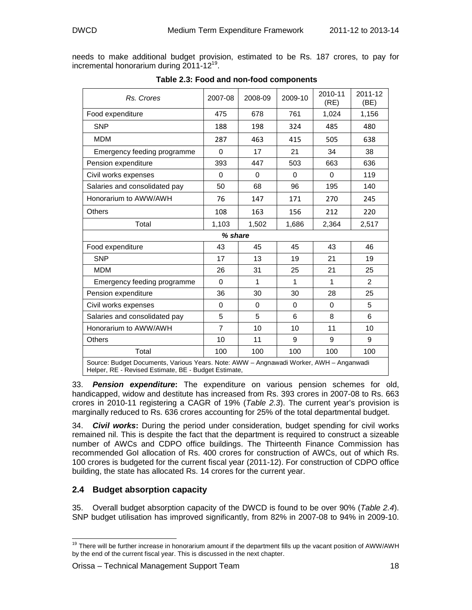needs to make additional budget provision, estimated to be Rs. 187 crores, to pay for incremental honorarium during 2011-12<sup>19</sup>.

| Rs. Crores                                                                                                                                     | 2007-08        | 2008-09  | 2009-10  | 2010-11<br>(RE) | 2011-12<br>(BE) |  |
|------------------------------------------------------------------------------------------------------------------------------------------------|----------------|----------|----------|-----------------|-----------------|--|
| Food expenditure                                                                                                                               | 475            | 678      | 761      | 1,024           | 1,156           |  |
| <b>SNP</b>                                                                                                                                     | 188            | 198      | 324      | 485             | 480             |  |
| <b>MDM</b>                                                                                                                                     | 287            | 463      | 415      | 505             | 638             |  |
| Emergency feeding programme                                                                                                                    | $\Omega$       | 17       | 21       | 34              | 38              |  |
| Pension expenditure                                                                                                                            | 393            | 447      | 503      | 663             | 636             |  |
| Civil works expenses                                                                                                                           | 0              | $\Omega$ | $\Omega$ | $\Omega$        | 119             |  |
| Salaries and consolidated pay                                                                                                                  | 50             | 68       | 96       | 195             | 140             |  |
| Honorarium to AWW/AWH                                                                                                                          | 76             | 147      | 171      | 270             | 245             |  |
| <b>Others</b>                                                                                                                                  | 108            | 163      | 156      | 212             | 220             |  |
| Total                                                                                                                                          | 1,103          | 1,502    | 1,686    | 2,364           | 2,517           |  |
| % share                                                                                                                                        |                |          |          |                 |                 |  |
| Food expenditure                                                                                                                               | 43             | 45       | 45       | 43              | 46              |  |
| <b>SNP</b>                                                                                                                                     | 17             | 13       | 19       | 21              | 19              |  |
| <b>MDM</b>                                                                                                                                     | 26             | 31       | 25       | 21              | 25              |  |
| Emergency feeding programme                                                                                                                    | 0              | 1        | 1        | $\mathbf{1}$    | 2               |  |
| Pension expenditure                                                                                                                            | 36             | 30       | 30       | 28              | 25              |  |
| Civil works expenses                                                                                                                           | 0              | $\Omega$ | $\Omega$ | $\Omega$        | 5               |  |
| Salaries and consolidated pay                                                                                                                  | 5              | 5        | 6        | 8               | 6               |  |
| Honorarium to AWW/AWH                                                                                                                          | $\overline{7}$ | 10       | 10       | 11              | 10              |  |
| <b>Others</b>                                                                                                                                  | 10             | 11       | 9        | 9               | 9               |  |
| Total                                                                                                                                          | 100            | 100      | 100      | 100             | 100             |  |
| Source: Budget Documents, Various Years. Note: AWW - Angnawadi Worker, AWH - Anganwadi<br>Helper, RE - Revised Estimate, BE - Budget Estimate, |                |          |          |                 |                 |  |

#### **Table 2.3: Food and non-food components**

33. **Pension expenditure:** The expenditure on various pension schemes for old, handicapped, widow and destitute has increased from Rs. 393 crores in 2007-08 to Rs. 663 crores in 2010-11 registering a CAGR of 19% (Table 2.3). The current year's provision is marginally reduced to Rs. 636 crores accounting for 25% of the total departmental budget.

34. **Civil works:** During the period under consideration, budget spending for civil works remained nil. This is despite the fact that the department is required to construct a sizeable number of AWCs and CDPO office buildings. The Thirteenth Finance Commission has recommended GoI allocation of Rs. 400 crores for construction of AWCs, out of which Rs. 100 crores is budgeted for the current fiscal year (2011-12). For construction of CDPO office building, the state has allocated Rs. 14 crores for the current year.

## **2.4 Budget absorption capacity**

35. Overall budget absorption capacity of the DWCD is found to be over 90% (Table 2.4). SNP budget utilisation has improved significantly, from 82% in 2007-08 to 94% in 2009-10.

 $\frac{1}{2}$ <sup>19</sup> There will be further increase in honorarium amount if the department fills up the vacant position of AWW/AWH by the end of the current fiscal year. This is discussed in the next chapter.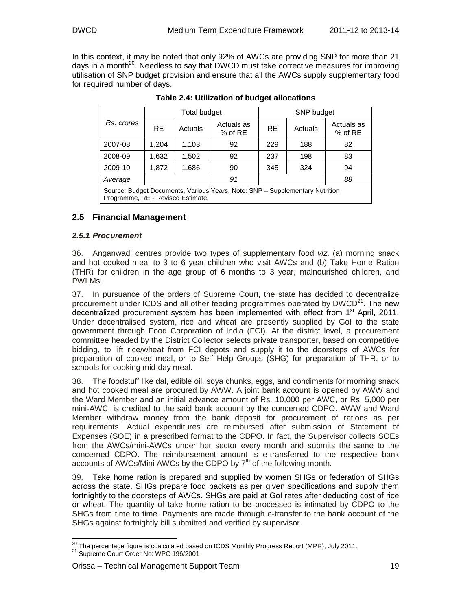In this context, it may be noted that only 92% of AWCs are providing SNP for more than 21 days in a month<sup>20</sup>. Needless to say that DWCD must take corrective measures for improving utilisation of SNP budget provision and ensure that all the AWCs supply supplementary food for required number of days.

|                                                                                                                   |           | Total budget |                         |           | SNP budget |                         |
|-------------------------------------------------------------------------------------------------------------------|-----------|--------------|-------------------------|-----------|------------|-------------------------|
| Rs. crores                                                                                                        | <b>RE</b> | Actuals      | Actuals as<br>$%$ of RE | <b>RE</b> | Actuals    | Actuals as<br>$%$ of RE |
| 2007-08                                                                                                           | 1,204     | 1,103        | 92                      | 229       | 188        | 82                      |
| 2008-09                                                                                                           | 1,632     | 1,502        | 92                      | 237       | 198        | 83                      |
| 2009-10                                                                                                           | 1,872     | 1,686        | 90                      | 345       | 324        | 94                      |
| 88<br>91<br>Average                                                                                               |           |              |                         |           |            |                         |
| Source: Budget Documents, Various Years, Note: SNP - Supplementary Nutrition<br>Programme, RE - Revised Estimate, |           |              |                         |           |            |                         |

**Table 2.4: Utilization of budget allocations**

## **2.5 Financial Management**

#### **2.5.1 Procurement**

36. Anganwadi centres provide two types of supplementary food viz. (a) morning snack and hot cooked meal to 3 to 6 year children who visit AWCs and (b) Take Home Ration (THR) for children in the age group of 6 months to 3 year, malnourished children, and PWLMs.

37. In pursuance of the orders of Supreme Court, the state has decided to decentralize procurement under ICDS and all other feeding programmes operated by  $DWCD^{21}$ . The new decentralized procurement system has been implemented with effect from 1<sup>st</sup> April, 2011. Under decentralised system, rice and wheat are presently supplied by GoI to the state government through Food Corporation of India (FCI). At the district level, a procurement committee headed by the District Collector selects private transporter, based on competitive bidding, to lift rice/wheat from FCI depots and supply it to the doorsteps of AWCs for preparation of cooked meal, or to Self Help Groups (SHG) for preparation of THR, or to schools for cooking mid-day meal.

38. The foodstuff like dal, edible oil, soya chunks, eggs, and condiments for morning snack and hot cooked meal are procured by AWW. A joint bank account is opened by AWW and the Ward Member and an initial advance amount of Rs. 10,000 per AWC, or Rs. 5,000 per mini-AWC, is credited to the said bank account by the concerned CDPO. AWW and Ward Member withdraw money from the bank deposit for procurement of rations as per requirements. Actual expenditures are reimbursed after submission of Statement of Expenses (SOE) in a prescribed format to the CDPO. In fact, the Supervisor collects SOEs from the AWCs/mini-AWCs under her sector every month and submits the same to the concerned CDPO. The reimbursement amount is e-transferred to the respective bank accounts of AWCs/Mini AWCs by the CDPO by  $7<sup>th</sup>$  of the following month.

39. Take home ration is prepared and supplied by women SHGs or federation of SHGs across the state. SHGs prepare food packets as per given specifications and supply them fortnightly to the doorsteps of AWCs. SHGs are paid at GoI rates after deducting cost of rice or wheat. The quantity of take home ration to be processed is intimated by CDPO to the SHGs from time to time. Payments are made through e-transfer to the bank account of the SHGs against fortnightly bill submitted and verified by supervisor.

 $\frac{1}{2}$ <sup>20</sup> The percentage figure is ccalculated based on ICDS Monthly Progress Report (MPR), July 2011.

<sup>&</sup>lt;sup>21</sup> Supreme Court Order No: WPC 196/2001

Orissa – Technical Management Support Team 19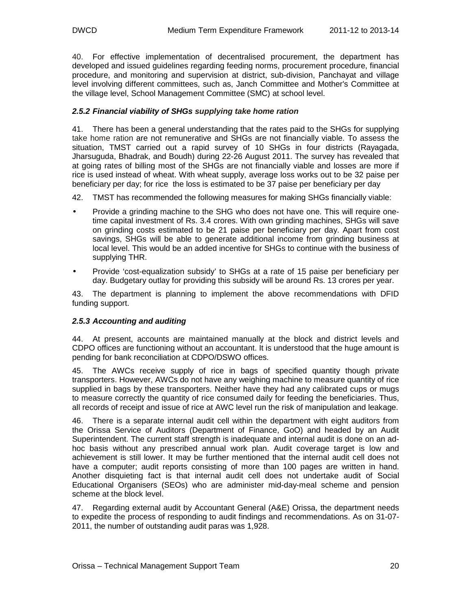40. For effective implementation of decentralised procurement, the department has developed and issued guidelines regarding feeding norms, procurement procedure, financial procedure, and monitoring and supervision at district, sub-division, Panchayat and village level involving different committees, such as, Janch Committee and Mother's Committee at the village level, School Management Committee (SMC) at school level.

#### **2.5.2 Financial viability of SHGs supplying take home ration**

41. There has been a general understanding that the rates paid to the SHGs for supplying take home ration are not remunerative and SHGs are not financially viable. To assess the situation, TMST carried out a rapid survey of 10 SHGs in four districts (Rayagada, Jharsuguda, Bhadrak, and Boudh) during 22-26 August 2011. The survey has revealed that at going rates of billing most of the SHGs are not financially viable and losses are more if rice is used instead of wheat. With wheat supply, average loss works out to be 32 paise per beneficiary per day; for rice the loss is estimated to be 37 paise per beneficiary per day

- 42. TMST has recommended the following measures for making SHGs financially viable:
- Provide a grinding machine to the SHG who does not have one. This will require onetime capital investment of Rs. 3.4 crores. With own grinding machines, SHGs will save on grinding costs estimated to be 21 paise per beneficiary per day. Apart from cost savings, SHGs will be able to generate additional income from grinding business at local level. This would be an added incentive for SHGs to continue with the business of supplying THR.
- Provide 'cost-equalization subsidy' to SHGs at a rate of 15 paise per beneficiary per day. Budgetary outlay for providing this subsidy will be around Rs. 13 crores per year.

43. The department is planning to implement the above recommendations with DFID funding support.

#### **2.5.3 Accounting and auditing**

44. At present, accounts are maintained manually at the block and district levels and CDPO offices are functioning without an accountant. It is understood that the huge amount is pending for bank reconciliation at CDPO/DSWO offices.

45. The AWCs receive supply of rice in bags of specified quantity though private transporters. However, AWCs do not have any weighing machine to measure quantity of rice supplied in bags by these transporters. Neither have they had any calibrated cups or mugs to measure correctly the quantity of rice consumed daily for feeding the beneficiaries. Thus, all records of receipt and issue of rice at AWC level run the risk of manipulation and leakage.

46. There is a separate internal audit cell within the department with eight auditors from the Orissa Service of Auditors (Department of Finance, GoO) and headed by an Audit Superintendent. The current staff strength is inadequate and internal audit is done on an adhoc basis without any prescribed annual work plan. Audit coverage target is low and achievement is still lower. It may be further mentioned that the internal audit cell does not have a computer; audit reports consisting of more than 100 pages are written in hand. Another disquieting fact is that internal audit cell does not undertake audit of Social Educational Organisers (SEOs) who are administer mid-day-meal scheme and pension scheme at the block level.

47. Regarding external audit by Accountant General (A&E) Orissa, the department needs to expedite the process of responding to audit findings and recommendations. As on 31-07- 2011, the number of outstanding audit paras was 1,928.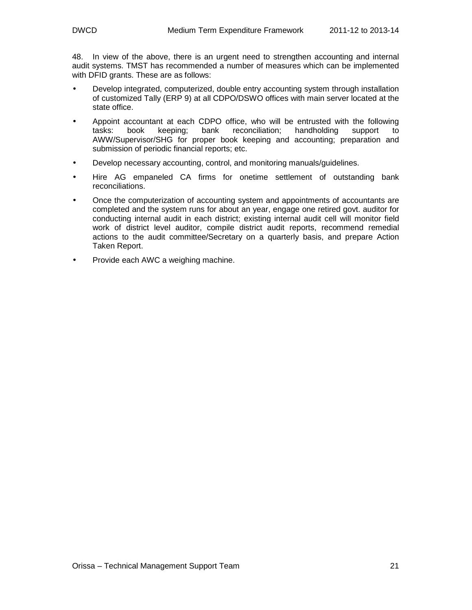48. In view of the above, there is an urgent need to strengthen accounting and internal audit systems. TMST has recommended a number of measures which can be implemented with DFID grants. These are as follows:

- Develop integrated, computerized, double entry accounting system through installation of customized Tally (ERP 9) at all CDPO/DSWO offices with main server located at the state office.
- Appoint accountant at each CDPO office, who will be entrusted with the following tasks: book keeping; bank reconciliation; handholding support to AWW/Supervisor/SHG for proper book keeping and accounting; preparation and submission of periodic financial reports; etc.
- Develop necessary accounting, control, and monitoring manuals/guidelines.
- Hire AG empaneled CA firms for onetime settlement of outstanding bank reconciliations.
- Once the computerization of accounting system and appointments of accountants are completed and the system runs for about an year, engage one retired govt. auditor for conducting internal audit in each district; existing internal audit cell will monitor field work of district level auditor, compile district audit reports, recommend remedial actions to the audit committee/Secretary on a quarterly basis, and prepare Action Taken Report.
- Provide each AWC a weighing machine.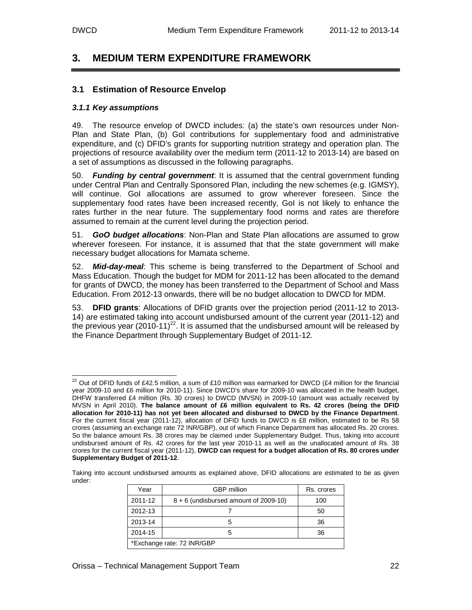-

## **3. MEDIUM TERM EXPENDITURE FRAMEWORK**

#### **3.1 Estimation of Resource Envelop**

#### **3.1.1 Key assumptions**

49. The resource envelop of DWCD includes: (a) the state's own resources under Non-Plan and State Plan, (b) GoI contributions for supplementary food and administrative expenditure, and (c) DFID's grants for supporting nutrition strategy and operation plan. The projections of resource availability over the medium term (2011-12 to 2013-14) are based on a set of assumptions as discussed in the following paragraphs.

50. **Funding by central government**: It is assumed that the central government funding under Central Plan and Centrally Sponsored Plan, including the new schemes (e.g. IGMSY), will continue. GoI allocations are assumed to grow wherever foreseen. Since the supplementary food rates have been increased recently, GoI is not likely to enhance the rates further in the near future. The supplementary food norms and rates are therefore assumed to remain at the current level during the projection period.

51. **GoO budget allocations**: Non-Plan and State Plan allocations are assumed to grow wherever foreseen. For instance, it is assumed that that the state government will make necessary budget allocations for Mamata scheme.

52. **Mid-day-meal**: This scheme is being transferred to the Department of School and Mass Education. Though the budget for MDM for 2011-12 has been allocated to the demand for grants of DWCD, the money has been transferred to the Department of School and Mass Education. From 2012-13 onwards, there will be no budget allocation to DWCD for MDM.

53. **DFID grants**: Allocations of DFID grants over the projection period (2011-12 to 2013- 14) are estimated taking into account undisbursed amount of the current year (2011-12) and the previous year  $(2010-11)^{22}$ . It is assumed that the undisbursed amount will be released by the Finance Department through Supplementary Budget of 2011-12.

Taking into account undisbursed amounts as explained above, DFID allocations are estimated to be as given under:

| Year                       | <b>GBP</b> million                      | Rs. crores |  |  |
|----------------------------|-----------------------------------------|------------|--|--|
| 2011-12                    | $8 + 6$ (undisbursed amount of 2009-10) | 100        |  |  |
| 2012-13                    |                                         | 50         |  |  |
| 2013-14                    | 5                                       | 36         |  |  |
| 2014-15                    | 5                                       | 36         |  |  |
| *Exchange rate: 72 INR/GBP |                                         |            |  |  |

<sup>&</sup>lt;sup>22</sup> Out of DFID funds of £42.5 million, a sum of £10 million was earmarked for DWCD (£4 million for the financial year 2009-10 and £6 million for 2010-11). Since DWCD's share for 2009-10 was allocated in the health budget, DHFW transferred £4 million (Rs. 30 crores) to DWCD (MVSN) in 2009-10 (amount was actually received by MVSN in April 2010). **The balance amount of £6 million equivalent to Rs. 42 crores (being the DFID allocation for 2010-11) has not yet been allocated and disbursed to DWCD by the Finance Department**. For the current fiscal year (2011-12), allocation of DFID funds to DWCD is £8 million, estimated to be Rs 58 crores (assuming an exchange rate 72 INR/GBP), out of which Finance Department has allocated Rs. 20 crores. So the balance amount Rs. 38 crores may be claimed under Supplementary Budget. Thus, taking into account undisbursed amount of Rs. 42 crores for the last year 2010-11 as well as the unallocated amount of Rs. 38 crores for the current fiscal year (2011-12), **DWCD can request for a budget allocation of Rs. 80 crores under Supplementary Budget of 2011-12**.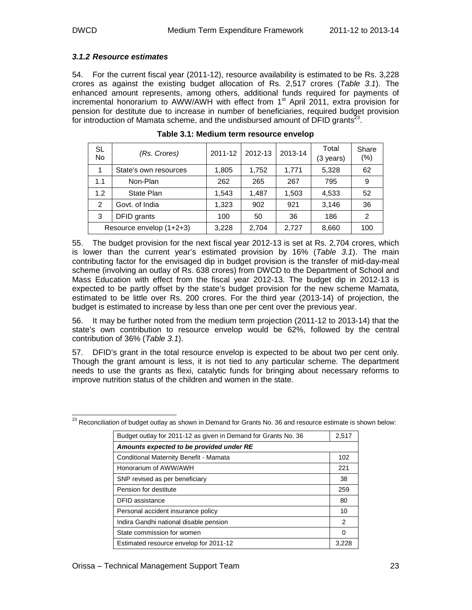#### **3.1.2 Resource estimates**

54. For the current fiscal year (2011-12), resource availability is estimated to be Rs. 3,228 crores as against the existing budget allocation of Rs. 2,517 crores (Table 3.1). The enhanced amount represents, among others, additional funds required for payments of incremental honorarium to AWW/AWH with effect from 1<sup>st</sup> April 2011, extra provision for pension for destitute due to increase in number of beneficiaries, required budget provision for introduction of Mamata scheme, and the undisbursed amount of DFID grants<sup>23</sup>.

| SL<br><b>No</b> | (Rs. Crores)             | 2011-12 | 2012-13 | 2013-14 | Total<br>(3 years) | Share<br>(% ) |
|-----------------|--------------------------|---------|---------|---------|--------------------|---------------|
| 1               | State's own resources    | 1,805   | 1,752   | 1,771   | 5,328              | 62            |
| 1.1             | Non-Plan                 | 262     | 265     | 267     | 795                | 9             |
| 1.2             | State Plan               | 1.543   | 1.487   | 1,503   | 4,533              | 52            |
| 2               | Govt. of India           | 1.323   | 902     | 921     | 3,146              | 36            |
| 3               | DFID grants              | 100     | 50      | 36      | 186                | $\mathcal{P}$ |
|                 | Resource envelop (1+2+3) | 3,228   | 2,704   | 2,727   | 8,660              | 100           |

**Table 3.1: Medium term resource envelop** 

55. The budget provision for the next fiscal year 2012-13 is set at Rs. 2,704 crores, which is lower than the current year's estimated provision by 16% (Table 3.1). The main contributing factor for the envisaged dip in budget provision is the transfer of mid-day-meal scheme (involving an outlay of Rs. 638 crores) from DWCD to the Department of School and Mass Education with effect from the fiscal year 2012-13. The budget dip in 2012-13 is expected to be partly offset by the state's budget provision for the new scheme Mamata, estimated to be little over Rs. 200 crores. For the third year (2013-14) of projection, the budget is estimated to increase by less than one per cent over the previous year.

56. It may be further noted from the medium term projection (2011-12 to 2013-14) that the state's own contribution to resource envelop would be 62%, followed by the central contribution of 36% (Table 3.1).

57. DFID's grant in the total resource envelop is expected to be about two per cent only. Though the grant amount is less, it is not tied to any particular scheme. The department needs to use the grants as flexi, catalytic funds for bringing about necessary reforms to improve nutrition status of the children and women in the state.

| Budget outlay for 2011-12 as given in Demand for Grants No. 36 | 2,517         |
|----------------------------------------------------------------|---------------|
| Amounts expected to be provided under RE                       |               |
| Conditional Maternity Benefit - Mamata                         | 102           |
| Honorarium of AWW/AWH                                          | 221           |
| SNP revised as per beneficiary                                 | 38            |
| Pension for destitute                                          | 259           |
| DFID assistance                                                | 80            |
| Personal accident insurance policy                             | 10            |
| Indira Gandhi national disable pension                         | $\mathcal{P}$ |
| State commission for women                                     | 0             |
| Estimated resource envelop for 2011-12                         | 3.22          |

- $^{23}$  Reconciliation of budget outlay as shown in Demand for Grants No. 36 and resource estimate is shown below: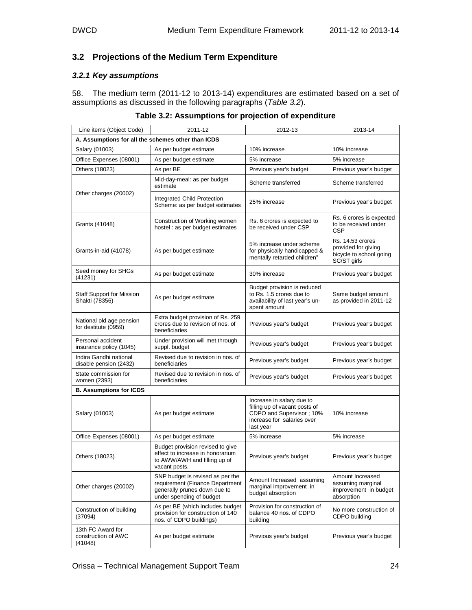## **3.2 Projections of the Medium Term Expenditure**

#### **3.2.1 Key assumptions**

58. The medium term (2011-12 to 2013-14) expenditures are estimated based on a set of assumptions as discussed in the following paragraphs (Table 3.2).

| Line items (Object Code)                            | 2011-12                                                                                                                         | 2012-13                                                                                                                           | 2013-14                                                                           |
|-----------------------------------------------------|---------------------------------------------------------------------------------------------------------------------------------|-----------------------------------------------------------------------------------------------------------------------------------|-----------------------------------------------------------------------------------|
| A. Assumptions for all the schemes other than ICDS  |                                                                                                                                 |                                                                                                                                   |                                                                                   |
| Salary (01003)                                      | As per budget estimate                                                                                                          | 10% increase                                                                                                                      | 10% increase                                                                      |
| Office Expenses (08001)                             | As per budget estimate                                                                                                          | 5% increase                                                                                                                       | 5% increase                                                                       |
| Others (18023)                                      | As per BE                                                                                                                       | Previous year's budget                                                                                                            | Previous year's budget                                                            |
|                                                     | Mid-day-meal: as per budget<br>estimate                                                                                         | Scheme transferred                                                                                                                | Scheme transferred                                                                |
| Other charges (20002)                               | Integrated Child Protection<br>Scheme: as per budget estimates                                                                  | 25% increase                                                                                                                      | Previous year's budget                                                            |
| Grants (41048)                                      | Construction of Working women<br>hostel : as per budget estimates                                                               | Rs. 6 crores is expected to<br>be received under CSP                                                                              | Rs. 6 crores is expected<br>to be received under<br><b>CSP</b>                    |
| Grants-in-aid (41078)                               | As per budget estimate                                                                                                          | 5% increase under scheme<br>for physically handicapped &<br>mentally retarded children"                                           | Rs. 14.53 crores<br>provided for giving<br>bicycle to school going<br>SC/ST girls |
| Seed money for SHGs<br>(41231)                      | As per budget estimate                                                                                                          | 30% increase                                                                                                                      | Previous year's budget                                                            |
| <b>Staff Support for Mission</b><br>Shakti (78356)  | As per budget estimate                                                                                                          | Budget provision is reduced<br>to Rs. 1.5 crores due to<br>availability of last year's un-<br>spent amount                        | Same budget amount<br>as provided in 2011-12                                      |
| National old age pension<br>for destitute (0959)    | Extra budget provision of Rs. 259<br>crores due to revision of nos. of<br>beneficiaries                                         | Previous year's budget                                                                                                            | Previous year's budget                                                            |
| Personal accident<br>insurance policy (1045)        | Under provision will met through<br>suppl. budget                                                                               | Previous year's budget                                                                                                            | Previous year's budget                                                            |
| Indira Gandhi national<br>disable pension (2432)    | Revised due to revision in nos. of<br>beneficiaries                                                                             | Previous year's budget                                                                                                            | Previous year's budget                                                            |
| State commission for<br>women (2393)                | Revised due to revision in nos. of<br>beneficiaries                                                                             | Previous year's budget                                                                                                            | Previous year's budget                                                            |
| <b>B. Assumptions for ICDS</b>                      |                                                                                                                                 |                                                                                                                                   |                                                                                   |
| Salary (01003)                                      | As per budget estimate                                                                                                          | Increase in salary due to<br>filling up of vacant posts of<br>CDPO and Supervisor; 10%<br>increase for salaries over<br>last year | 10% increase                                                                      |
| Office Expenses (08001)                             | As per budget estimate                                                                                                          | 5% increase                                                                                                                       | 5% increase                                                                       |
| Others (18023)                                      | Budget provision revised to give<br>effect to increase in honorarium<br>to AWW/AWH and filling up of<br>vacant posts.           | Previous year's budget                                                                                                            | Previous year's budget                                                            |
| Other charges (20002)                               | SNP budget is revised as per the<br>requirement (Finance Department<br>generally prunes down due to<br>under spending of budget | Amount Increased assuming<br>marginal improvement in<br>budget absorption                                                         | Amount Increased<br>assuming marginal<br>improvement in budget<br>absorption      |
| Construction of building<br>(37094)                 | As per BE (which includes budget<br>provision for construction of 140<br>nos. of CDPO buildings)                                | Provision for construction of<br>balance 40 nos. of CDPO<br>building                                                              | No more construction of<br>CDPO building                                          |
| 13th FC Award for<br>construction of AWC<br>(41048) | As per budget estimate                                                                                                          | Previous year's budget                                                                                                            | Previous year's budget                                                            |

**Table 3.2: Assumptions for projection of expenditure**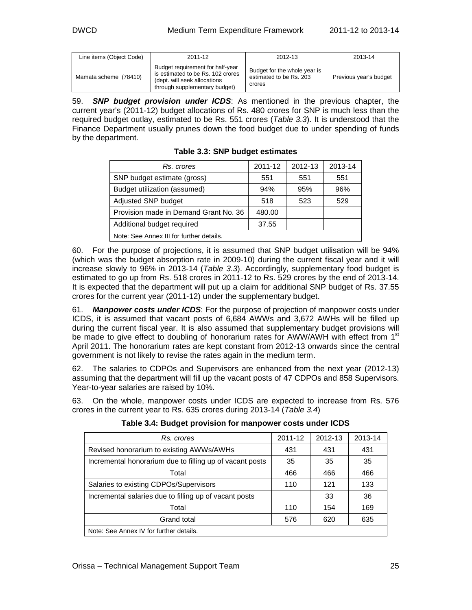| Line items (Object Code) | 2011-12                                                                                                                                | 2012-13                                                           | 2013-14                |
|--------------------------|----------------------------------------------------------------------------------------------------------------------------------------|-------------------------------------------------------------------|------------------------|
| Mamata scheme (78410)    | Budget requirement for half-year<br>is estimated to be Rs. 102 crores<br>(dept. will seek allocations<br>through supplementary budget) | Budget for the whole year is<br>estimated to be Rs. 203<br>crores | Previous year's budget |

59. **SNP budget provision under ICDS**: As mentioned in the previous chapter, the current year's (2011-12) budget allocations of Rs. 480 crores for SNP is much less than the required budget outlay, estimated to be Rs. 551 crores (Table 3.3). It is understood that the Finance Department usually prunes down the food budget due to under spending of funds by the department.

| Rs. crores                               | 2011-12 | 2012-13 | 2013-14 |  |  |
|------------------------------------------|---------|---------|---------|--|--|
| SNP budget estimate (gross)              | 551     | 551     | 551     |  |  |
| Budget utilization (assumed)             | 94%     | 95%     | 96%     |  |  |
| Adjusted SNP budget                      | 518     | 523     | 529     |  |  |
| Provision made in Demand Grant No. 36    | 480.00  |         |         |  |  |
| Additional budget required               | 37.55   |         |         |  |  |
| Note: See Annex III for further details. |         |         |         |  |  |

**Table 3.3: SNP budget estimates** 

60. For the purpose of projections, it is assumed that SNP budget utilisation will be 94% (which was the budget absorption rate in 2009-10) during the current fiscal year and it will increase slowly to 96% in 2013-14 (Table 3.3). Accordingly, supplementary food budget is estimated to go up from Rs. 518 crores in 2011-12 to Rs. 529 crores by the end of 2013-14. It is expected that the department will put up a claim for additional SNP budget of Rs. 37.55 crores for the current year (2011-12) under the supplementary budget.

61. **Manpower costs under ICDS**: For the purpose of projection of manpower costs under ICDS, it is assumed that vacant posts of 6,684 AWWs and 3,672 AWHs will be filled up during the current fiscal year. It is also assumed that supplementary budget provisions will be made to give effect to doubling of honorarium rates for AWW/AWH with effect from  $1<sup>st</sup>$ April 2011. The honorarium rates are kept constant from 2012-13 onwards since the central government is not likely to revise the rates again in the medium term.

62. The salaries to CDPOs and Supervisors are enhanced from the next year (2012-13) assuming that the department will fill up the vacant posts of 47 CDPOs and 858 Supervisors. Year-to-year salaries are raised by 10%.

63. On the whole, manpower costs under ICDS are expected to increase from Rs. 576 crores in the current year to Rs. 635 crores during 2013-14 (Table 3.4)

| Rs. crores                                               | 2011-12 | 2012-13 | 2013-14 |
|----------------------------------------------------------|---------|---------|---------|
| Revised honorarium to existing AWWs/AWHs                 | 431     | 431     | 431     |
| Incremental honorarium due to filling up of vacant posts | 35      | 35      | 35      |
| Total                                                    | 466     | 466     | 466     |
| Salaries to existing CDPOs/Supervisors                   | 110     | 121     | 133     |
| Incremental salaries due to filling up of vacant posts   |         | 33      | 36      |
| Total                                                    | 110     | 154     | 169     |
| Grand total                                              | 576     | 620     | 635     |
| Note: See Annex IV for further details.                  |         |         |         |

**Table 3.4: Budget provision for manpower costs under ICDS**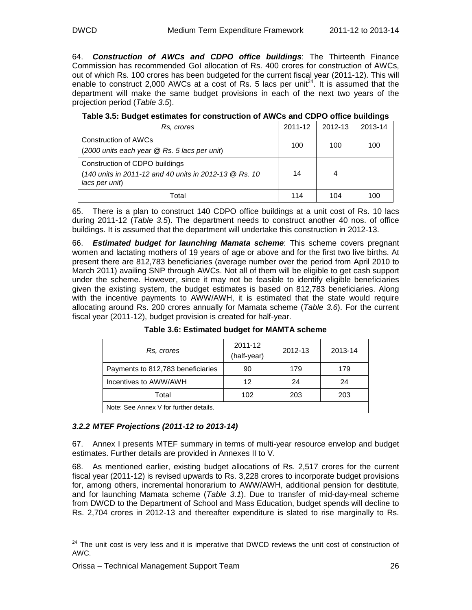64. **Construction of AWCs and CDPO office buildings**: The Thirteenth Finance Commission has recommended GoI allocation of Rs. 400 crores for construction of AWCs, out of which Rs. 100 crores has been budgeted for the current fiscal year (2011-12). This will enable to construct 2,000 AWCs at a cost of Rs. 5 lacs per unit<sup>24</sup>. It is assumed that the department will make the same budget provisions in each of the next two years of the projection period (Table 3.5).

| Rs, crores                                                                                                 | 2011-12 | 2012-13 | 2013-14 |
|------------------------------------------------------------------------------------------------------------|---------|---------|---------|
| <b>Construction of AWCs</b><br>(2000 units each year @ Rs. 5 lacs per unit)                                | 100     | 100     | 100     |
| Construction of CDPO buildings<br>(140 units in 2011-12 and 40 units in 2012-13 @ Rs. 10<br>lacs per unit) | 14      | 4       |         |
| Total                                                                                                      | 114     | 104     | 100     |

| Table 3.5: Budget estimates for construction of AWCs and CDPO office buildings |  |
|--------------------------------------------------------------------------------|--|
|--------------------------------------------------------------------------------|--|

65. There is a plan to construct 140 CDPO office buildings at a unit cost of Rs. 10 lacs during 2011-12 (Table 3.5). The department needs to construct another 40 nos. of office buildings. It is assumed that the department will undertake this construction in 2012-13.

66. **Estimated budget for launching Mamata scheme**: This scheme covers pregnant women and lactating mothers of 19 years of age or above and for the first two live births. At present there are 812,783 beneficiaries (average number over the period from April 2010 to March 2011) availing SNP through AWCs. Not all of them will be eligible to get cash support under the scheme. However, since it may not be feasible to identify eligible beneficiaries given the existing system, the budget estimates is based on 812,783 beneficiaries. Along with the incentive payments to AWW/AWH, it is estimated that the state would require allocating around Rs. 200 crores annually for Mamata scheme (Table 3.6). For the current fiscal year (2011-12), budget provision is created for half-year.

| Rs, crores                             | 2011-12<br>(half-year) | 2012-13 | 2013-14 |
|----------------------------------------|------------------------|---------|---------|
| Payments to 812,783 beneficiaries      | 90                     | 179     | 179     |
| Incentives to AWW/AWH                  | 12                     | 24      | 24      |
| Total                                  | 102                    | 203     | 203     |
| Note: See Annex V for further details. |                        |         |         |

**Table 3.6: Estimated budget for MAMTA scheme** 

#### **3.2.2 MTEF Projections (2011-12 to 2013-14)**

67. Annex I presents MTEF summary in terms of multi-year resource envelop and budget estimates. Further details are provided in Annexes II to V.

68. As mentioned earlier, existing budget allocations of Rs. 2,517 crores for the current fiscal year (2011-12) is revised upwards to Rs. 3,228 crores to incorporate budget provisions for, among others, incremental honorarium to AWW/AWH, additional pension for destitute, and for launching Mamata scheme (Table 3.1). Due to transfer of mid-day-meal scheme from DWCD to the Department of School and Mass Education, budget spends will decline to Rs. 2,704 crores in 2012-13 and thereafter expenditure is slated to rise marginally to Rs.

-

 $24$  The unit cost is very less and it is imperative that DWCD reviews the unit cost of construction of AWC.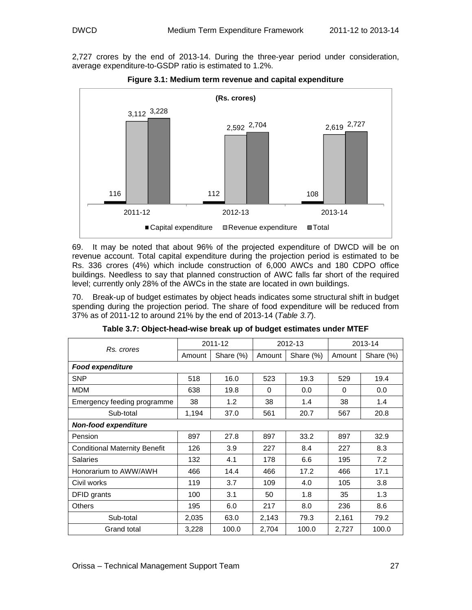2,727 crores by the end of 2013-14. During the three-year period under consideration, average expenditure-to-GSDP ratio is estimated to 1.2%.



**Figure 3.1: Medium term revenue and capital expenditure** 

69. It may be noted that about 96% of the projected expenditure of DWCD will be on revenue account. Total capital expenditure during the projection period is estimated to be Rs. 336 crores (4%) which include construction of 6,000 AWCs and 180 CDPO office buildings. Needless to say that planned construction of AWC falls far short of the required level; currently only 28% of the AWCs in the state are located in own buildings.

70. Break-up of budget estimates by object heads indicates some structural shift in budget spending during the projection period. The share of food expenditure will be reduced from 37% as of 2011-12 to around 21% by the end of 2013-14 (Table 3.7).

|                                      | 2011-12 |           |        | 2012-13   | 2013-14  |           |  |
|--------------------------------------|---------|-----------|--------|-----------|----------|-----------|--|
| Rs. crores                           | Amount  | Share (%) | Amount | Share (%) | Amount   | Share (%) |  |
| <b>Food expenditure</b>              |         |           |        |           |          |           |  |
| <b>SNP</b>                           | 518     | 16.0      | 523    | 19.3      | 529      | 19.4      |  |
| <b>MDM</b>                           | 638     | 19.8      | 0      | 0.0       | $\Omega$ | 0.0       |  |
| Emergency feeding programme          | 38      | 1.2       | 38     | 1.4       | 38       | 1.4       |  |
| Sub-total                            | 1,194   | 37.0      | 561    | 20.7      | 567      | 20.8      |  |
| <b>Non-food expenditure</b>          |         |           |        |           |          |           |  |
| Pension                              | 897     | 27.8      | 897    | 33.2      | 897      | 32.9      |  |
| <b>Conditional Maternity Benefit</b> | 126     | 3.9       | 227    | 8.4       | 227      | 8.3       |  |
| <b>Salaries</b>                      | 132     | 4.1       | 178    | 6.6       | 195      | 7.2       |  |
| Honorarium to AWW/AWH                | 466     | 14.4      | 466    | 17.2      | 466      | 17.1      |  |
| Civil works                          | 119     | 3.7       | 109    | 4.0       | 105      | 3.8       |  |
| DFID grants                          | 100     | 3.1       | 50     | 1.8       | 35       | 1.3       |  |
| <b>Others</b>                        | 195     | 6.0       | 217    | 8.0       | 236      | 8.6       |  |
| Sub-total                            | 2,035   | 63.0      | 2,143  | 79.3      | 2,161    | 79.2      |  |
| <b>Grand total</b>                   | 3,228   | 100.0     | 2,704  | 100.0     | 2,727    | 100.0     |  |

| Table 3.7: Object-head-wise break up of budget estimates under MTEF |  |  |
|---------------------------------------------------------------------|--|--|
|                                                                     |  |  |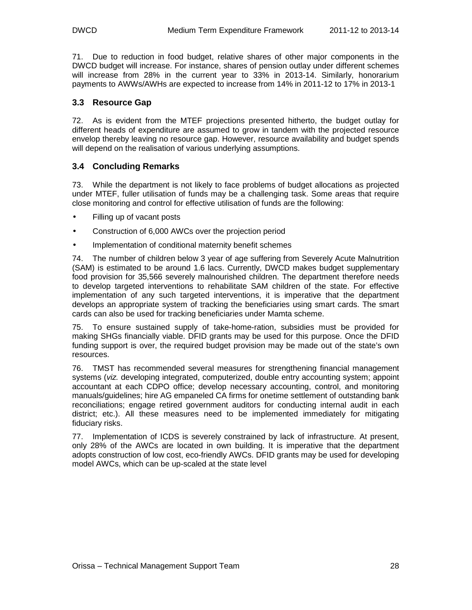71. Due to reduction in food budget, relative shares of other major components in the DWCD budget will increase. For instance, shares of pension outlay under different schemes will increase from 28% in the current year to 33% in 2013-14. Similarly, honorarium payments to AWWs/AWHs are expected to increase from 14% in 2011-12 to 17% in 2013-1

#### **3.3 Resource Gap**

72. As is evident from the MTEF projections presented hitherto, the budget outlay for different heads of expenditure are assumed to grow in tandem with the projected resource envelop thereby leaving no resource gap. However, resource availability and budget spends will depend on the realisation of various underlying assumptions.

### **3.4 Concluding Remarks**

73. While the department is not likely to face problems of budget allocations as projected under MTEF, fuller utilisation of funds may be a challenging task. Some areas that require close monitoring and control for effective utilisation of funds are the following:

- Filling up of vacant posts
- Construction of 6,000 AWCs over the projection period
- Implementation of conditional maternity benefit schemes

74. The number of children below 3 year of age suffering from Severely Acute Malnutrition (SAM) is estimated to be around 1.6 lacs. Currently, DWCD makes budget supplementary food provision for 35,566 severely malnourished children. The department therefore needs to develop targeted interventions to rehabilitate SAM children of the state. For effective implementation of any such targeted interventions, it is imperative that the department develops an appropriate system of tracking the beneficiaries using smart cards. The smart cards can also be used for tracking beneficiaries under Mamta scheme.

75. To ensure sustained supply of take-home-ration, subsidies must be provided for making SHGs financially viable. DFID grants may be used for this purpose. Once the DFID funding support is over, the required budget provision may be made out of the state's own resources.

76. TMST has recommended several measures for strengthening financial management systems (viz. developing integrated, computerized, double entry accounting system; appoint accountant at each CDPO office; develop necessary accounting, control, and monitoring manuals/guidelines; hire AG empaneled CA firms for onetime settlement of outstanding bank reconciliations; engage retired government auditors for conducting internal audit in each district; etc.). All these measures need to be implemented immediately for mitigating fiduciary risks.

77. Implementation of ICDS is severely constrained by lack of infrastructure. At present, only 28% of the AWCs are located in own building. It is imperative that the department adopts construction of low cost, eco-friendly AWCs. DFID grants may be used for developing model AWCs, which can be up-scaled at the state level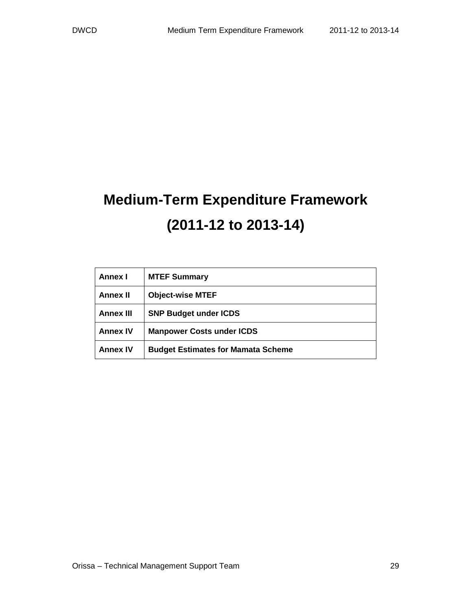# **Medium-Term Expenditure Framework (2011-12 to 2013-14)**

| Annex I          | <b>MTEF Summary</b>                       |
|------------------|-------------------------------------------|
| <b>Annex II</b>  | <b>Object-wise MTEF</b>                   |
| <b>Annex III</b> | <b>SNP Budget under ICDS</b>              |
| <b>Annex IV</b>  | <b>Manpower Costs under ICDS</b>          |
| <b>Annex IV</b>  | <b>Budget Estimates for Mamata Scheme</b> |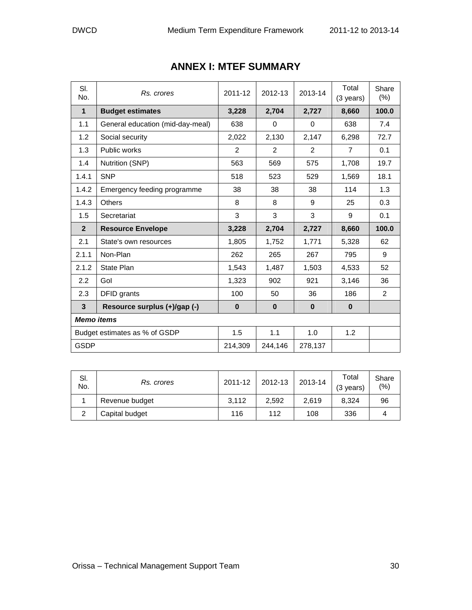| SI.<br>No.        | Rs. crores                       | 2011-12      | 2012-13     | 2013-14      | Total<br>(3 years) | Share<br>$(\%)$ |
|-------------------|----------------------------------|--------------|-------------|--------------|--------------------|-----------------|
| $\mathbf{1}$      | <b>Budget estimates</b>          | 3,228        | 2,704       | 2,727        | 8,660              | 100.0           |
| 1.1               | General education (mid-day-meal) | 638          | $\mathbf 0$ | $\Omega$     | 638                | 7.4             |
| 1.2               | Social security                  | 2,022        | 2,130       | 2,147        | 6,298              | 72.7            |
| 1.3               | <b>Public works</b>              | 2            | 2           | 2            | 7                  | 0.1             |
| 1.4               | Nutrition (SNP)                  | 563          | 569         | 575          | 1,708              | 19.7            |
| 1.4.1             | <b>SNP</b>                       | 518          | 523         | 529          | 1,569              | 18.1            |
| 1.4.2             | Emergency feeding programme      | 38           | 38          | 38           | 114                | 1.3             |
| 1.4.3             | Others                           | 8            | 8           | 9            | 25                 | 0.3             |
| 1.5               | Secretariat                      | 3            | 3           | 3            | 9                  | 0.1             |
| $\overline{2}$    | <b>Resource Envelope</b>         | 3,228        | 2,704       | 2,727        | 8,660              | 100.0           |
| 2.1               | State's own resources            | 1,805        | 1,752       | 1,771        | 5,328              | 62              |
| 2.1.1             | Non-Plan                         | 262          | 265         | 267          | 795                | 9               |
| 2.1.2             | State Plan                       | 1,543        | 1,487       | 1,503        | 4,533              | 52              |
| 2.2               | Gol                              | 1,323        | 902         | 921          | 3,146              | 36              |
| 2.3               | DFID grants                      | 100          | 50          | 36           | 186                | $\overline{2}$  |
| $\mathbf{3}$      | Resource surplus (+)/gap (-)     | $\mathbf{0}$ | $\bf{0}$    | $\mathbf{0}$ | $\mathbf{0}$       |                 |
| <b>Memo items</b> |                                  |              |             |              |                    |                 |
|                   | Budget estimates as % of GSDP    | 1.5          | 1.1         | 1.0          | 1.2                |                 |
| <b>GSDP</b>       |                                  | 214,309      | 244,146     | 278,137      |                    |                 |

# **ANNEX I: MTEF SUMMARY**

| SI.<br>No. | Rs. crores     | 2011-12 | 2012-13 | 2013-14 | Total<br>$(3 \text{ years})$ | Share<br>(% ) |
|------------|----------------|---------|---------|---------|------------------------------|---------------|
|            | Revenue budget | 3.112   | 2.592   | 2.619   | 8.324                        | 96            |
| ົ          | Capital budget | 116     | 112     | 108     | 336                          |               |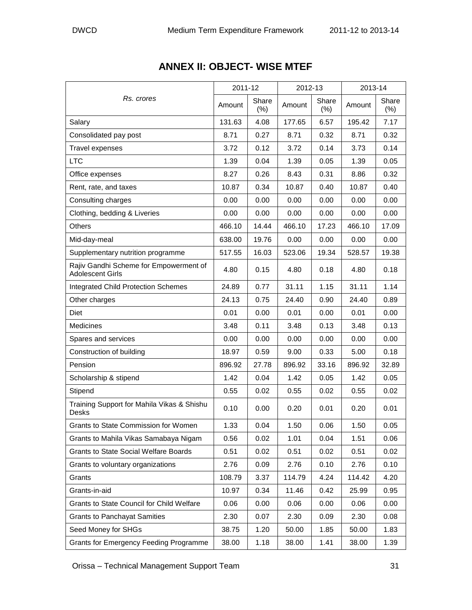|                                                                   | 2011-12 |                 | 2012-13 |                 | 2013-14 |                  |
|-------------------------------------------------------------------|---------|-----------------|---------|-----------------|---------|------------------|
| Rs. crores                                                        | Amount  | Share<br>$(\%)$ | Amount  | Share<br>$(\%)$ | Amount  | Share<br>$(\% )$ |
| Salary                                                            | 131.63  | 4.08            | 177.65  | 6.57            | 195.42  | 7.17             |
| Consolidated pay post                                             | 8.71    | 0.27            | 8.71    | 0.32            | 8.71    | 0.32             |
| <b>Travel expenses</b>                                            | 3.72    | 0.12            | 3.72    | 0.14            | 3.73    | 0.14             |
| <b>LTC</b>                                                        | 1.39    | 0.04            | 1.39    | 0.05            | 1.39    | 0.05             |
| Office expenses                                                   | 8.27    | 0.26            | 8.43    | 0.31            | 8.86    | 0.32             |
| Rent, rate, and taxes                                             | 10.87   | 0.34            | 10.87   | 0.40            | 10.87   | 0.40             |
| Consulting charges                                                | 0.00    | 0.00            | 0.00    | 0.00            | 0.00    | 0.00             |
| Clothing, bedding & Liveries                                      | 0.00    | 0.00            | 0.00    | 0.00            | 0.00    | 0.00             |
| Others                                                            | 466.10  | 14.44           | 466.10  | 17.23           | 466.10  | 17.09            |
| Mid-day-meal                                                      | 638.00  | 19.76           | 0.00    | 0.00            | 0.00    | 0.00             |
| Supplementary nutrition programme                                 | 517.55  | 16.03           | 523.06  | 19.34           | 528.57  | 19.38            |
| Rajiv Gandhi Scheme for Empowerment of<br><b>Adolescent Girls</b> | 4.80    | 0.15            | 4.80    | 0.18            | 4.80    | 0.18             |
| <b>Integrated Child Protection Schemes</b>                        | 24.89   | 0.77            | 31.11   | 1.15            | 31.11   | 1.14             |
| Other charges                                                     | 24.13   | 0.75            | 24.40   | 0.90            | 24.40   | 0.89             |
| <b>Diet</b>                                                       | 0.01    | 0.00            | 0.01    | 0.00            | 0.01    | 0.00             |
| Medicines                                                         | 3.48    | 0.11            | 3.48    | 0.13            | 3.48    | 0.13             |
| Spares and services                                               | 0.00    | 0.00            | 0.00    | 0.00            | 0.00    | 0.00             |
| Construction of building                                          | 18.97   | 0.59            | 9.00    | 0.33            | 5.00    | 0.18             |
| Pension                                                           | 896.92  | 27.78           | 896.92  | 33.16           | 896.92  | 32.89            |
| Scholarship & stipend                                             | 1.42    | 0.04            | 1.42    | 0.05            | 1.42    | 0.05             |
| Stipend                                                           | 0.55    | 0.02            | 0.55    | 0.02            | 0.55    | 0.02             |
| Training Support for Mahila Vikas & Shishu<br>Desks               | 0.10    | 0.00            | 0.20    | 0.01            | 0.20    | 0.01             |
| Grants to State Commission for Women                              | 1.33    | 0.04            | 1.50    | 0.06            | 1.50    | 0.05             |
| Grants to Mahila Vikas Samabaya Nigam                             | 0.56    | 0.02            | 1.01    | 0.04            | 1.51    | 0.06             |
| <b>Grants to State Social Welfare Boards</b>                      | 0.51    | 0.02            | 0.51    | 0.02            | 0.51    | 0.02             |
| Grants to voluntary organizations                                 | 2.76    | 0.09            | 2.76    | 0.10            | 2.76    | 0.10             |
| Grants                                                            | 108.79  | 3.37            | 114.79  | 4.24            | 114.42  | 4.20             |
| Grants-in-aid                                                     | 10.97   | 0.34            | 11.46   | 0.42            | 25.99   | 0.95             |
| Grants to State Council for Child Welfare                         | 0.06    | 0.00            | 0.06    | 0.00            | 0.06    | 0.00             |
| <b>Grants to Panchayat Samities</b>                               | 2.30    | 0.07            | 2.30    | 0.09            | 2.30    | 0.08             |
| Seed Money for SHGs                                               | 38.75   | 1.20            | 50.00   | 1.85            | 50.00   | 1.83             |
| <b>Grants for Emergency Feeding Programme</b>                     | 38.00   | 1.18            | 38.00   | 1.41            | 38.00   | 1.39             |

# **ANNEX II: OBJECT- WISE MTEF**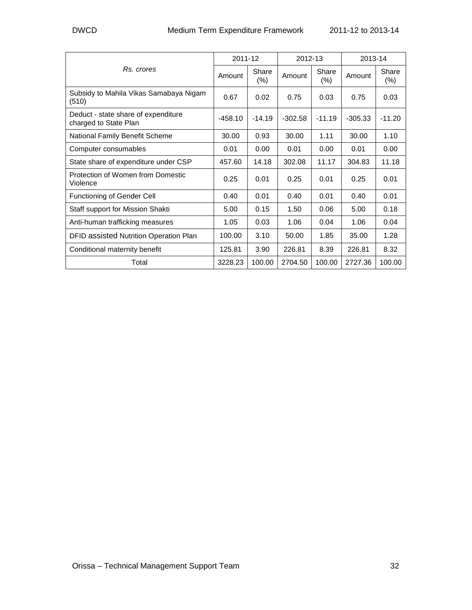|                                                              |           | 2011-12         |           | 2012-13          |           | 2013-14         |  |
|--------------------------------------------------------------|-----------|-----------------|-----------|------------------|-----------|-----------------|--|
| Rs. crores                                                   | Amount    | Share<br>$(\%)$ | Amount    | Share<br>$(\% )$ | Amount    | Share<br>$(\%)$ |  |
| Subsidy to Mahila Vikas Samabaya Nigam<br>(510)              | 0.67      | 0.02            | 0.75      | 0.03             | 0.75      | 0.03            |  |
| Deduct - state share of expenditure<br>charged to State Plan | $-458.10$ | $-14.19$        | $-302.58$ | $-11.19$         | $-305.33$ | $-11.20$        |  |
| National Family Benefit Scheme                               | 30.00     | 0.93            | 30.00     | 1.11             | 30.00     | 1.10            |  |
| Computer consumables                                         | 0.01      | 0.00            | 0.01      | 0.00             | 0.01      | 0.00            |  |
| State share of expenditure under CSP                         | 457.60    | 14.18           | 302.08    | 11.17            | 304.83    | 11.18           |  |
| Protection of Women from Domestic<br>Violence                | 0.25      | 0.01            | 0.25      | 0.01             | 0.25      | 0.01            |  |
| Functioning of Gender Cell                                   | 0.40      | 0.01            | 0.40      | 0.01             | 0.40      | 0.01            |  |
| Staff support for Mission Shakti                             | 5.00      | 0.15            | 1.50      | 0.06             | 5.00      | 0.18            |  |
| Anti-human trafficking measures                              | 1.05      | 0.03            | 1.06      | 0.04             | 1.06      | 0.04            |  |
| DFID assisted Nutrition Operation Plan                       | 100.00    | 3.10            | 50.00     | 1.85             | 35.00     | 1.28            |  |
| Conditional maternity benefit                                | 125.81    | 3.90            | 226.81    | 8.39             | 226.81    | 8.32            |  |
| Total                                                        | 3228.23   | 100.00          | 2704.50   | 100.00           | 2727.36   | 100.00          |  |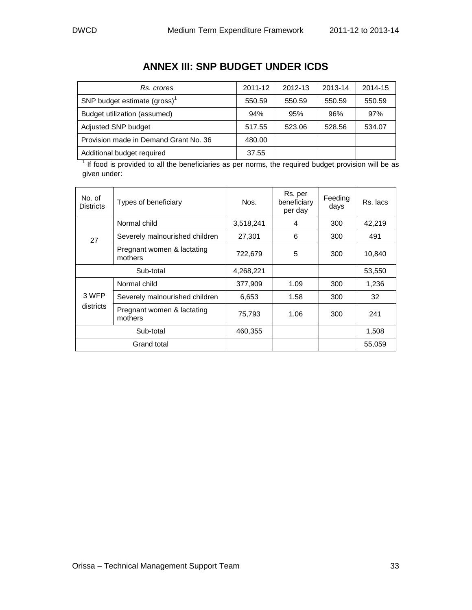| Rs. crores                               | 2011-12 | 2012-13 | 2013-14 | 2014-15 |
|------------------------------------------|---------|---------|---------|---------|
| SNP budget estimate (gross) <sup>1</sup> | 550.59  | 550.59  | 550.59  | 550.59  |
| Budget utilization (assumed)             | 94%     | 95%     | 96%     | 97%     |
| Adjusted SNP budget                      | 517.55  | 523.06  | 528.56  | 534.07  |
| Provision made in Demand Grant No. 36    | 480.00  |         |         |         |
| Additional budget required               | 37.55   |         |         |         |

# **ANNEX III: SNP BUDGET UNDER ICDS**

 $1$  If food is provided to all the beneficiaries as per norms, the required budget provision will be as given under:

| No. of<br><b>Districts</b> | Types of beneficiary                  | Nos.      | Rs. per<br>beneficiary<br>per day | Feeding<br>days | Rs. lacs |
|----------------------------|---------------------------------------|-----------|-----------------------------------|-----------------|----------|
|                            | Normal child                          | 3,518,241 | 4                                 | 300             | 42,219   |
| 27                         | Severely malnourished children        | 27.301    | 6                                 | 300             | 491      |
|                            | Pregnant women & lactating<br>mothers | 722,679   | 5                                 | 300             | 10,840   |
|                            | Sub-total                             | 4,268,221 |                                   |                 | 53,550   |
|                            | Normal child                          | 377,909   | 1.09                              | 300             | 1,236    |
| 3 WFP                      | Severely malnourished children        | 6,653     | 1.58                              | 300             | 32       |
| districts                  | Pregnant women & lactating<br>mothers | 75,793    | 1.06                              | 300             | 241      |
|                            | Sub-total                             | 460,355   |                                   |                 | 1,508    |
|                            | Grand total                           |           |                                   |                 | 55,059   |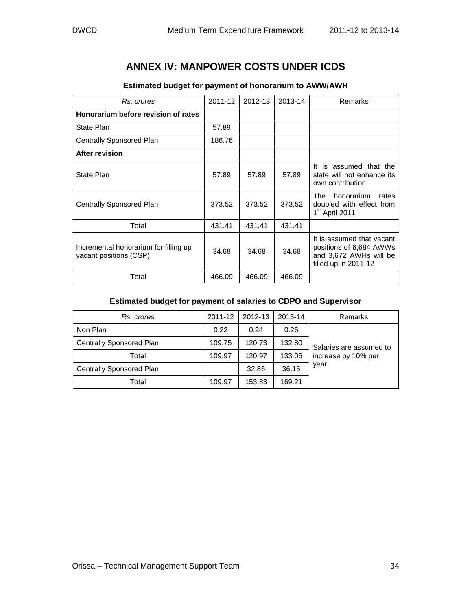# **ANNEX IV: MANPOWER COSTS UNDER ICDS**

| Rs. crores                                                      | 2011-12 | 2012-13 | 2013-14 | Remarks                                                                                                |
|-----------------------------------------------------------------|---------|---------|---------|--------------------------------------------------------------------------------------------------------|
| Honorarium before revision of rates                             |         |         |         |                                                                                                        |
| State Plan                                                      | 57.89   |         |         |                                                                                                        |
| <b>Centrally Sponsored Plan</b>                                 | 186.76  |         |         |                                                                                                        |
| After revision                                                  |         |         |         |                                                                                                        |
| State Plan                                                      | 57.89   | 57.89   | 57.89   | It is assumed that the<br>state will not enhance its<br>own contribution                               |
| Centrally Sponsored Plan                                        | 373.52  | 373.52  | 373.52  | honorarium<br>The<br>rates<br>doubled with effect from<br>1 <sup>st</sup> April 2011                   |
| Total                                                           | 431.41  | 431.41  | 431.41  |                                                                                                        |
| Incremental honorarium for filling up<br>vacant positions (CSP) | 34.68   | 34.68   | 34.68   | It is assumed that vacant<br>positions of 6,684 AWWs<br>and 3,672 AWHs will be<br>filled up in 2011-12 |
| Total                                                           | 466.09  | 466.09  | 466.09  |                                                                                                        |

#### **Estimated budget for payment of honorarium to AWW/AWH**

#### **Estimated budget for payment of salaries to CDPO and Supervisor**

| Rs. crores               | 2011-12 | 2012-13 | 2013-14 | Remarks                 |  |
|--------------------------|---------|---------|---------|-------------------------|--|
| Non Plan                 | 0.22    | 0.24    | 0.26    |                         |  |
| Centrally Sponsored Plan | 109.75  | 120.73  | 132.80  | Salaries are assumed to |  |
| Total                    | 109.97  | 120.97  | 133.06  | increase by 10% per     |  |
| Centrally Sponsored Plan |         | 32.86   | 36.15   | year                    |  |
| Total                    | 109.97  | 153.83  | 169.21  |                         |  |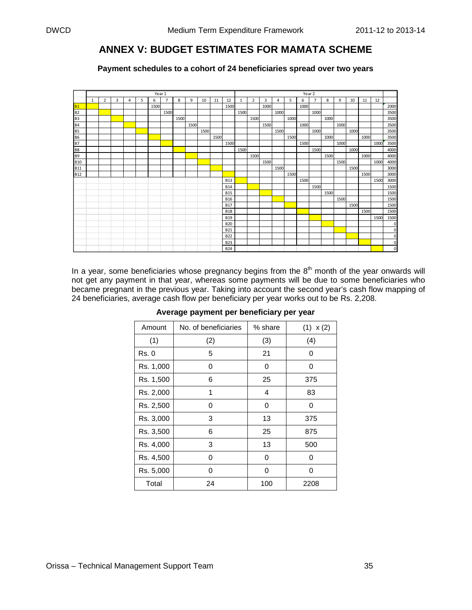## **ANNEX V: BUDGET ESTIMATES FOR MAMATA SCHEME**

**Payment schedules to a cohort of 24 beneficiaries spread over two years** 

|                | Year 1 |                |   |   |   |      |                |      |      |      |      | Year 2     |              |                |      |      |      |      |                |      |      |      |      |      |                |
|----------------|--------|----------------|---|---|---|------|----------------|------|------|------|------|------------|--------------|----------------|------|------|------|------|----------------|------|------|------|------|------|----------------|
|                | 1      | $\overline{2}$ | 3 | 4 | 5 | 6    | $\overline{7}$ | 8    | 9    | 10   | 11   | 12         | $\mathbf{1}$ | $\overline{2}$ | 3    | 4    | 5    | 6    | $\overline{7}$ | 8    | 9    | 10   | 11   | 12   |                |
| <b>B1</b>      |        |                |   |   |   | 1500 |                |      |      |      |      | 1500       |              |                | 1000 |      |      | 1000 |                |      |      |      |      |      | 2000           |
| <b>B2</b>      |        |                |   |   |   |      | 1500           |      |      |      |      |            | 1500         |                |      | 1000 |      |      | 1000           |      |      |      |      |      | 3500           |
| B <sub>3</sub> |        |                |   |   |   |      |                | 1500 |      |      |      |            |              | 1500           |      |      | 1000 |      |                | 1000 |      |      |      |      | 3500           |
| <b>B4</b>      |        |                |   |   |   |      |                |      | 1500 |      |      |            |              |                | 1500 |      |      | 1000 |                |      | 1000 |      |      |      | 3500           |
| <b>B5</b>      |        |                |   |   |   |      |                |      |      | 1500 |      |            |              |                |      | 1500 |      |      | 1000           |      |      | 1000 |      |      | 3500           |
| <b>B6</b>      |        |                |   |   |   |      |                |      |      |      | 1500 |            |              |                |      |      | 1500 |      |                | 1000 |      |      | 1000 |      | 3500           |
| <b>B7</b>      |        |                |   |   |   |      |                |      |      |      |      | 1500       |              |                |      |      |      | 1500 |                |      | 1000 |      |      | 1000 | 3500           |
| <b>B8</b>      |        |                |   |   |   |      |                |      |      |      |      |            | 1500         |                |      |      |      |      | 1500           |      |      | 1000 |      |      | 4000           |
| <b>B9</b>      |        |                |   |   |   |      |                |      |      |      |      |            |              | 1500           |      |      |      |      |                | 1500 |      |      | 1000 |      | 4000           |
| <b>B10</b>     |        |                |   |   |   |      |                |      |      |      |      |            |              |                | 1500 |      |      |      |                |      | 1500 |      |      | 1000 | 4000           |
| <b>B11</b>     |        |                |   |   |   |      |                |      |      |      |      |            |              |                |      | 1500 |      |      |                |      |      | 1500 |      |      | 3000           |
| <b>B12</b>     |        |                |   |   |   |      |                |      |      |      |      |            |              |                |      |      | 1500 |      |                |      |      |      | 1500 |      | 3000           |
|                |        |                |   |   |   |      |                |      |      |      |      | <b>B13</b> |              |                |      |      |      | 1500 |                |      |      |      |      | 1500 | 3000           |
|                |        |                |   |   |   |      |                |      |      |      |      | <b>B14</b> |              |                |      |      |      |      | 1500           |      |      |      |      |      | 1500           |
|                |        |                |   |   |   |      |                |      |      |      |      | <b>B15</b> |              |                |      |      |      |      |                | 1500 |      |      |      |      | 1500           |
|                |        |                |   |   |   |      |                |      |      |      |      | <b>B16</b> |              |                |      |      |      |      |                |      | 1500 |      |      |      | 1500           |
|                |        |                |   |   |   |      |                |      |      |      |      | <b>B17</b> |              |                |      |      |      |      |                |      |      | 1500 |      |      | 1500           |
|                |        |                |   |   |   |      |                |      |      |      |      | <b>B18</b> |              |                |      |      |      |      |                |      |      |      | 1500 |      | 1500           |
|                |        |                |   |   |   |      |                |      |      |      |      | <b>B19</b> |              |                |      |      |      |      |                |      |      |      |      | 1500 | 1500           |
|                |        |                |   |   |   |      |                |      |      |      |      | <b>B20</b> |              |                |      |      |      |      |                |      |      |      |      |      | $\mathbf 0$    |
|                |        |                |   |   |   |      |                |      |      |      |      | <b>B21</b> |              |                |      |      |      |      |                |      |      |      |      |      | $\mathbf 0$    |
|                |        |                |   |   |   |      |                |      |      |      |      | <b>B22</b> |              |                |      |      |      |      |                |      |      |      |      |      | $\mathbf 0$    |
|                |        |                |   |   |   |      |                |      |      |      |      | <b>B23</b> |              |                |      |      |      |      |                |      |      |      |      |      | 0              |
|                |        |                |   |   |   |      |                |      |      |      |      | <b>B24</b> |              |                |      |      |      |      |                |      |      |      |      |      | $\overline{0}$ |

In a year, some beneficiaries whose pregnancy begins from the  $8<sup>th</sup>$  month of the year onwards will not get any payment in that year, whereas some payments will be due to some beneficiaries who became pregnant in the previous year. Taking into account the second year's cash flow mapping of 24 beneficiaries, average cash flow per beneficiary per year works out to be Rs. 2,208.

| Amount       | No. of beneficiaries | % share | (1) x(2) |
|--------------|----------------------|---------|----------|
| (1)          | (2)                  | (3)     | (4)      |
| <b>Rs. 0</b> | 5                    | 21      | 0        |
| Rs. 1,000    | 0                    | 0       | 0        |
| Rs. 1,500    | 6                    | 25      | 375      |
| Rs. 2,000    | 1                    | 4       | 83       |
| Rs. 2,500    | 0                    | 0       | 0        |
| Rs. 3,000    | 3                    | 13      | 375      |
| Rs. 3,500    | 6                    | 25      | 875      |
| Rs. 4,000    | 3                    | 13      | 500      |
| Rs. 4,500    | 0                    | 0       | 0        |
| Rs. 5,000    | 0                    | 0       | 0        |
| Total        | 24                   | 100     | 2208     |

#### **Average payment per beneficiary per year**